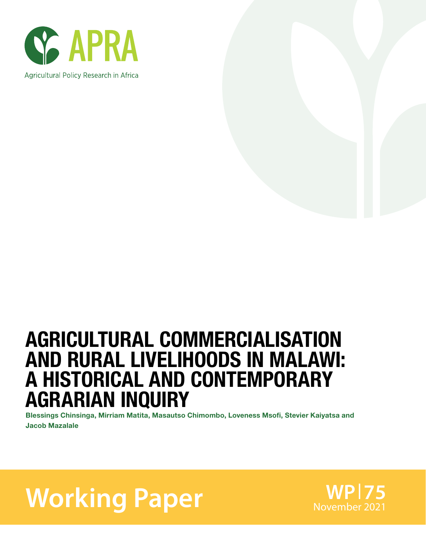

# AGRICULTURAL COMMERCIALISATION AND RURAL LIVELIHOODS IN MALAWI: A HISTORICAL AND CONTEMPORARY AGRARIAN INQUIRY

Blessings Chinsinga, Mirriam Matita, Masautso Chimombo, Loveness Msofi, Stevier Kaiyatsa and Jacob Mazalale

**Working Paper** Morember 2021

**WP 75**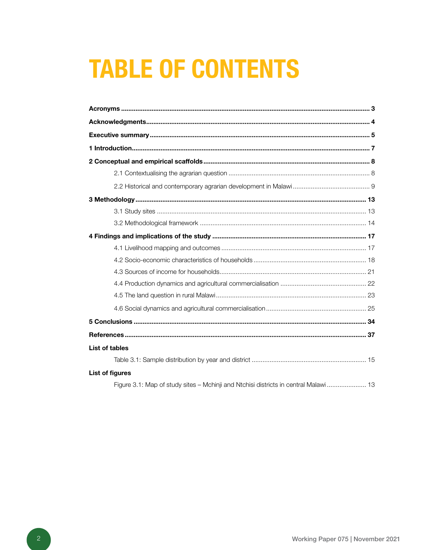# **TABLE OF CONTENTS**

| <b>List of tables</b>                                                                |
|--------------------------------------------------------------------------------------|
|                                                                                      |
| <b>List of figures</b>                                                               |
| Figure 3.1: Map of study sites - Mchinji and Ntchisi districts in central Malawi  13 |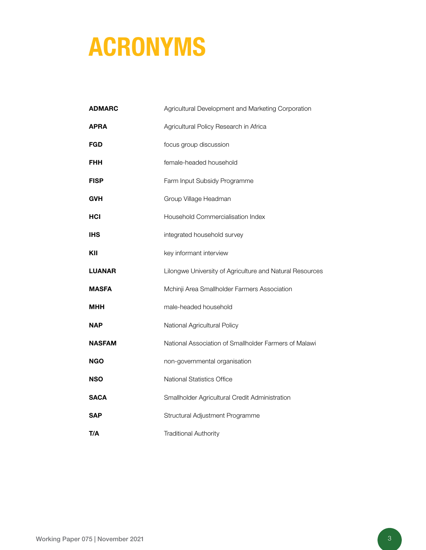# ACRONYMS

| <b>ADMARC</b> | Agricultural Development and Marketing Corporation       |
|---------------|----------------------------------------------------------|
| <b>APRA</b>   | Agricultural Policy Research in Africa                   |
| FGD           | focus group discussion                                   |
| FHH           | female-headed household                                  |
| <b>FISP</b>   | Farm Input Subsidy Programme                             |
| GVH           | Group Village Headman                                    |
| HCI           | Household Commercialisation Index                        |
| IHS           | integrated household survey                              |
| KII           | key informant interview                                  |
| <b>LUANAR</b> | Lilongwe University of Agriculture and Natural Resources |
| <b>MASFA</b>  | Mchinji Area Smallholder Farmers Association             |
| мнн           | male-headed household                                    |
| NAP           | National Agricultural Policy                             |
| <b>NASFAM</b> | National Association of Smallholder Farmers of Malawi    |
| <b>NGO</b>    | non-governmental organisation                            |
| NSO           | <b>National Statistics Office</b>                        |
| <b>SACA</b>   | Smallholder Agricultural Credit Administration           |
| SAP           | Structural Adjustment Programme                          |
| T/A           | <b>Traditional Authority</b>                             |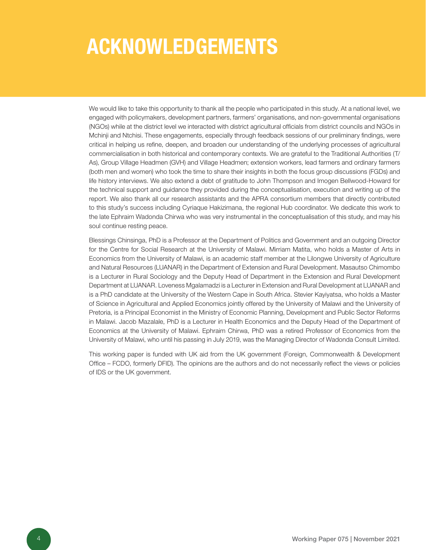# ACKNOWLEDGEMENTS

We would like to take this opportunity to thank all the people who participated in this study. At a national level, we engaged with policymakers, development partners, farmers' organisations, and non-governmental organisations (NGOs) while at the district level we interacted with district agricultural officials from district councils and NGOs in Mchinji and Ntchisi. These engagements, especially through feedback sessions of our preliminary findings, were critical in helping us refine, deepen, and broaden our understanding of the underlying processes of agricultural commercialisation in both historical and contemporary contexts. We are grateful to the Traditional Authorities (T/ As), Group Village Headmen (GVH) and Village Headmen; extension workers, lead farmers and ordinary farmers (both men and women) who took the time to share their insights in both the focus group discussions (FGDs) and life history interviews. We also extend a debt of gratitude to John Thompson and Imogen Bellwood-Howard for the technical support and guidance they provided during the conceptualisation, execution and writing up of the report. We also thank all our research assistants and the APRA consortium members that directly contributed to this study's success including Cyriaque Hakizimana, the regional Hub coordinator. We dedicate this work to the late Ephraim Wadonda Chirwa who was very instrumental in the conceptualisation of this study, and may his soul continue resting peace.

Blessings Chinsinga, PhD is a Professor at the Department of Politics and Government and an outgoing Director for the Centre for Social Research at the University of Malawi. Mirriam Matita, who holds a Master of Arts in Economics from the University of Malawi, is an academic staff member at the Lilongwe University of Agriculture and Natural Resources (LUANAR) in the Department of Extension and Rural Development. Masautso Chimombo is a Lecturer in Rural Sociology and the Deputy Head of Department in the Extension and Rural Development Department at LUANAR. Loveness Mgalamadzi is a Lecturer in Extension and Rural Development at LUANAR and is a PhD candidate at the University of the Western Cape in South Africa. Stevier Kayiyatsa, who holds a Master of Science in Agricultural and Applied Economics jointly offered by the University of Malawi and the University of Pretoria, is a Principal Economist in the Ministry of Economic Planning, Development and Public Sector Reforms in Malawi. Jacob Mazalale, PhD is a Lecturer in Health Economics and the Deputy Head of the Department of Economics at the University of Malawi. Ephraim Chirwa, PhD was a retired Professor of Economics from the University of Malawi, who until his passing in July 2019, was the Managing Director of Wadonda Consult Limited.

This working paper is funded with UK aid from the UK government (Foreign, Commonwealth & Development Office – FCDO, formerly DFID). The opinions are the authors and do not necessarily reflect the views or policies of IDS or the UK government.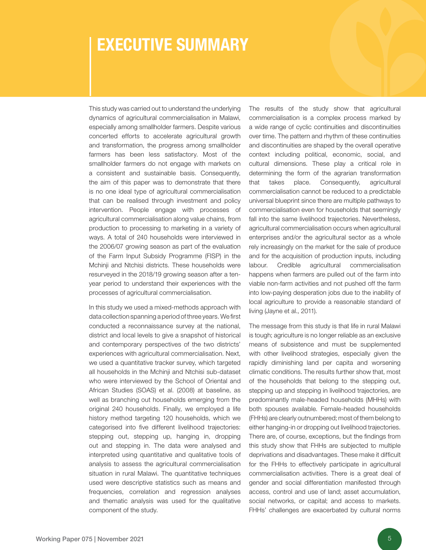## EXECUTIVE SUMMARY

This study was carried out to understand the underlying dynamics of agricultural commercialisation in Malawi, especially among smallholder farmers. Despite various concerted efforts to accelerate agricultural growth and transformation, the progress among smallholder farmers has been less satisfactory. Most of the smallholder farmers do not engage with markets on a consistent and sustainable basis. Consequently, the aim of this paper was to demonstrate that there is no one ideal type of agricultural commercialisation that can be realised through investment and policy intervention. People engage with processes of agricultural commercialisation along value chains, from production to processing to marketing in a variety of ways. A total of 240 households were interviewed in the 2006/07 growing season as part of the evaluation of the Farm Input Subsidy Programme (FISP) in the Mchinji and Ntchisi districts. These households were resurveyed in the 2018/19 growing season after a tenyear period to understand their experiences with the processes of agricultural commercialisation.

In this study we used a mixed-methods approach with data collection spanning a period of three years. We first conducted a reconnaissance survey at the national, district and local levels to give a snapshot of historical and contemporary perspectives of the two districts' experiences with agricultural commercialisation. Next, we used a quantitative tracker survey, which targeted all households in the Mchinji and Ntchisi sub-dataset who were interviewed by the School of Oriental and African Studies (SOAS) et al. (2008) at baseline, as well as branching out households emerging from the original 240 households. Finally, we employed a life history method targeting 120 households, which we categorised into five different livelihood trajectories: stepping out, stepping up, hanging in, dropping out and stepping in. The data were analysed and interpreted using quantitative and qualitative tools of analysis to assess the agricultural commercialisation situation in rural Malawi. The quantitative techniques used were descriptive statistics such as means and frequencies, correlation and regression analyses and thematic analysis was used for the qualitative component of the study.

The results of the study show that agricultural commercialisation is a complex process marked by a wide range of cyclic continuities and discontinuities over time. The pattern and rhythm of these continuities and discontinuities are shaped by the overall operative context including political, economic, social, and cultural dimensions. These play a critical role in determining the form of the agrarian transformation that takes place. Consequently, agricultural commercialisation cannot be reduced to a predictable universal blueprint since there are multiple pathways to commercialisation even for households that seemingly fall into the same livelihood trajectories. Nevertheless, agricultural commercialisation occurs when agricultural enterprises and/or the agricultural sector as a whole rely increasingly on the market for the sale of produce and for the acquisition of production inputs, including labour. Credible agricultural commercialisation happens when farmers are pulled out of the farm into viable non-farm activities and not pushed off the farm into low-paying desperation jobs due to the inability of local agriculture to provide a reasonable standard of living (Jayne et al., 2011).

The message from this study is that life in rural Malawi is tough; agriculture is no longer reliable as an exclusive means of subsistence and must be supplemented with other livelihood strategies, especially given the rapidly diminishing land per capita and worsening climatic conditions. The results further show that, most of the households that belong to the stepping out, stepping up and stepping in livelihood trajectories, are predominantly male-headed households (MHHs) with both spouses available. Female-headed households (FHHs) are clearly outnumbered; most of them belong to either hanging-in or dropping out livelihood trajectories. There are, of course, exceptions, but the findings from this study show that FHHs are subjected to multiple deprivations and disadvantages. These make it difficult for the FHHs to effectively participate in agricultural commercialisation activities. There is a great deal of gender and social differentiation manifested through access, control and use of land; asset accumulation, social networks, or capital; and access to markets. FHHs' challenges are exacerbated by cultural norms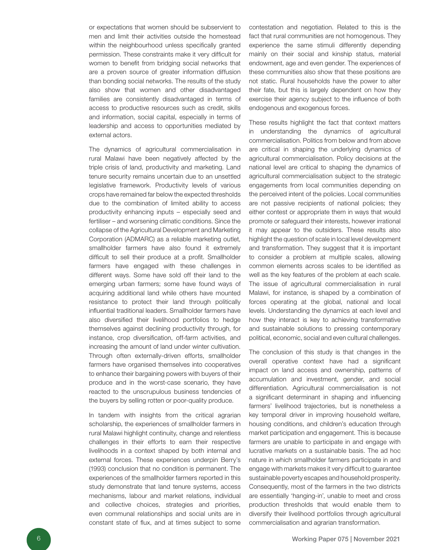or expectations that women should be subservient to men and limit their activities outside the homestead within the neighbourhood unless specifically granted permission. These constraints make it very difficult for women to benefit from bridging social networks that are a proven source of greater information diffusion than bonding social networks. The results of the study also show that women and other disadvantaged families are consistently disadvantaged in terms of access to productive resources such as credit, skills and information, social capital, especially in terms of leadership and access to opportunities mediated by external actors.

The dynamics of agricultural commercialisation in rural Malawi have been negatively affected by the triple crisis of land, productivity and marketing. Land tenure security remains uncertain due to an unsettled legislative framework. Productivity levels of various crops have remained far below the expected thresholds due to the combination of limited ability to access productivity enhancing inputs – especially seed and fertiliser – and worsening climatic conditions. Since the collapse of the Agricultural Development and Marketing Corporation (ADMARC) as a reliable marketing outlet, smallholder farmers have also found it extremely difficult to sell their produce at a profit. Smallholder farmers have engaged with these challenges in different ways. Some have sold off their land to the emerging urban farmers; some have found ways of acquiring additional land while others have mounted resistance to protect their land through politically influential traditional leaders. Smallholder farmers have also diversified their livelihood portfolios to hedge themselves against declining productivity through, for instance, crop diversification, off-farm activities, and increasing the amount of land under winter cultivation. Through often externally-driven efforts, smallholder farmers have organised themselves into cooperatives to enhance their bargaining powers with buyers of their produce and in the worst-case scenario, they have reacted to the unscrupulous business tendencies of the buyers by selling rotten or poor-quality produce.

In tandem with insights from the critical agrarian scholarship, the experiences of smallholder farmers in rural Malawi highlight continuity, change and relentless challenges in their efforts to earn their respective livelihoods in a context shaped by both internal and external forces. These experiences underpin Berry's (1993) conclusion that no condition is permanent. The experiences of the smallholder farmers reported in this study demonstrate that land tenure systems, access mechanisms, labour and market relations, individual and collective choices, strategies and priorities, even communal relationships and social units are in constant state of flux, and at times subject to some

contestation and negotiation. Related to this is the fact that rural communities are not homogenous. They experience the same stimuli differently depending mainly on their social and kinship status, material endowment, age and even gender. The experiences of these communities also show that these positions are not static. Rural households have the power to alter their fate, but this is largely dependent on how they exercise their agency subject to the influence of both endogenous and exogenous forces.

These results highlight the fact that context matters in understanding the dynamics of agricultural commercialisation. Politics from below and from above are critical in shaping the underlying dynamics of agricultural commercialisation. Policy decisions at the national level are critical to shaping the dynamics of agricultural commercialisation subject to the strategic engagements from local communities depending on the perceived intent of the policies. Local communities are not passive recipients of national policies; they either contest or appropriate them in ways that would promote or safeguard their interests, however irrational it may appear to the outsiders. These results also highlight the question of scale in local level development and transformation. They suggest that it is important to consider a problem at multiple scales, allowing common elements across scales to be identified as well as the key features of the problem at each scale. The issue of agricultural commercialisation in rural Malawi, for instance, is shaped by a combination of forces operating at the global, national and local levels. Understanding the dynamics at each level and how they interact is key to achieving transformative and sustainable solutions to pressing contemporary political, economic, social and even cultural challenges.

The conclusion of this study is that changes in the overall operative context have had a significant impact on land access and ownership, patterns of accumulation and investment, gender, and social differentiation. Agricultural commercialisation is not a significant determinant in shaping and influencing farmers' livelihood trajectories, but is nonetheless a key temporal driver in improving household welfare, housing conditions, and children's education through market participation and engagement. This is because farmers are unable to participate in and engage with lucrative markets on a sustainable basis. The ad hoc nature in which smallholder farmers participate in and engage with markets makes it very difficult to guarantee sustainable poverty escapes and household prosperity. Consequently, most of the farmers in the two districts are essentially 'hanging-in', unable to meet and cross production thresholds that would enable them to diversify their livelihood portfolios through agricultural commercialisation and agrarian transformation.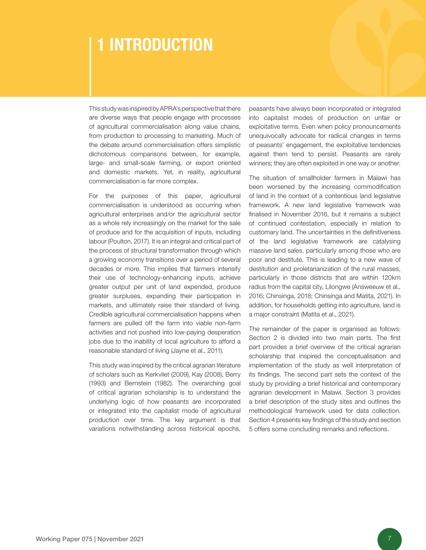## 1 INTRODUCTION

This study was inspired by APRA's perspective that there are diverse ways that people engage with processes of agricultural commercialisation along value chains, from production to processing to marketing. Much of the debate around commercialisation offers simplistic dichotomous comparisons between, for example, large- and small-scale farming, or export oriented and domestic markets. Yet, in reality, agricultural commercialisation is far more complex.

For the purposes of this paper, agricultural commercialisation is understood as occurring when agricultural enterprises and/or the agricultural sector as a whole rely increasingly on the market for the sale of produce and for the acquisition of inputs, including labour (Poulton, 2017). It is an integral and critical part of the process of structural transformation through which a growing economy transitions over a period of several decades or more. This implies that farmers intensify their use of technology-enhancing inputs, achieve greater output per unit of land expended, produce greater surpluses, expanding their participation in markets, and ultimately raise their standard of living. Credible agricultural commercialisation happens when farmers are pulled off the farm into viable non-farm activities and not pushed into low-paying desperation jobs due to the inability of local agriculture to afford a reasonable standard of living (Jayne et al., 2011).

This study was inspired by the critical agrarian literature of scholars such as Kerkvliet (2009), Kay (2008), Berry (1993) and Bernstein (1982). The overarching goal of critical agrarian scholarship is to understand the underlying logic of how peasants are incorporated or integrated into the capitalist mode of agricultural production over time. The key argument is that variations notwithstanding across historical epochs,

peasants have always been incorporated or integrated into capitalist modes of production on unfair or exploitative terms. Even when policy pronouncements unequivocally advocate for radical changes in terms of peasants' engagement, the exploitative tendencies against them tend to persist. Peasants are rarely winners; they are often exploited in one way or another.

The situation of smallholder farmers in Malawi has been worsened by the increasing commodification of land in the context of a contentious land legislative framework. A new land legislative framework was finalised in November 2016, but it remains a subject of continued contestation, especially in relation to customary land. The uncertainties in the definitiveness of the land legislative framework are catalysing massive land sales, particularly among those who are poor and destitute. This is leading to a new wave of destitution and proletarianization of the rural masses, particularly in those districts that are within 120km radius from the capital city, Lilongwe (Answeeuw et al., 2016; Chinsinga, 2018; Chinsinga and Matita, 2021). In addition, for households getting into agriculture, land is a major constraint (Matita et al., 2021).

The remainder of the paper is organised as follows: Section 2 is divided into two main parts. The first part provides a brief overview of the critical agrarian scholarship that inspired the conceptualisation and implementation of the study as well interpretation of its findings. The second part sets the context of the study by providing a brief historical and contemporary agrarian development in Malawi. Section 3 provides a brief description of the study sites and outlines the methodological framework used for data collection. Section 4 presents key findings of the study and section 5 offers some concluding remarks and reflections.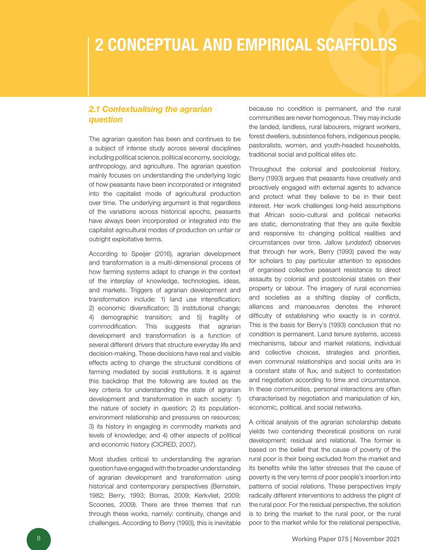# 2 CONCEPTUAL AND EMPIRICAL SCAFFOLDS

### *2.1 Contextualising the agrarian question*

The agrarian question has been and continues to be a subject of intense study across several disciplines including political science, political economy, sociology, anthropology, and agriculture. The agrarian question mainly focuses on understanding the underlying logic of how peasants have been incorporated or integrated into the capitalist mode of agricultural production over time. The underlying argument is that regardless of the variations across historical epochs, peasants have always been incorporated or integrated into the capitalist agricultural modes of production on unfair or outright exploitative terms.

According to Speijer (2016), agrarian development and transformation is a multi-dimensional process of how farming systems adapt to change in the context of the interplay of knowledge, technologies, ideas, and markets. Triggers of agrarian development and transformation include: 1) land use intensification; 2) economic diversification; 3) institutional change; 4) demographic transition; and 5) fragility of commodification. This suggests that agrarian development and transformation is a function of several different drivers that structure everyday life and decision-making. These decisions have real and visible effects acting to change the structural conditions of farming mediated by social institutions. It is against this backdrop that the following are touted as the key criteria for understanding the state of agrarian development and transformation in each society: 1) the nature of society in question; 2) its populationenvironment relationship and pressures on resources; 3) its history in engaging in commodity markets and levels of knowledge; and 4) other aspects of political and economic history (CICRED, 2007).

Most studies critical to understanding the agrarian question have engaged with the broader understanding of agrarian development and transformation using historical and contemporary perspectives (Bernstein, 1982; Berry, 1993; Borras, 2009; Kerkvliet, 2009; Scoones, 2009). There are three themes that run through these works, namely: continuity, change and challenges. According to Berry (1993), this is inevitable

because no condition is permanent, and the rural communities are never homogenous. They may include the landed, landless, rural labourers, migrant workers, forest dwellers, subsistence fishers, indigenous people, pastoralists, women, and youth-headed households, traditional social and political elites etc.

Throughout the colonial and postcolonial history, Berry (1993) argues that peasants have creatively and proactively engaged with external agents to advance and protect what they believe to be in their best interest. Her work challenges long-held assumptions that African socio-cultural and political networks are static, demonstrating that they are quite flexible and responsive to changing political realities and circumstances over time. Jallow (*undated*) observes that through her work, Berry (1993) paved the way for scholars to pay particular attention to episodes of organised collective peasant resistance to direct assaults by colonial and postcolonial states on their property or labour. The imagery of rural economies and societies as a shifting display of conflicts, alliances and manoeuvres denotes the inherent difficulty of establishing who exactly is in control. This is the basis for Berry's (1993) conclusion that no condition is permanent. Land tenure systems, access mechanisms, labour and market relations, individual and collective choices, strategies and priorities, even communal relationships and social units are in a constant state of flux, and subject to contestation and negotiation according to time and circumstance. In these communities, personal interactions are often characterised by negotiation and manipulation of kin, economic, political, and social networks.

A critical analysis of the agrarian scholarship debate yields two contending theoretical positions on rural development: residual and relational. The former is based on the belief that the cause of poverty of the rural poor is their being excluded from the market and its benefits while the latter stresses that the cause of poverty is the very terms of poor people's insertion into patterns of social relations. These perspectives imply radically different interventions to address the plight of the rural poor. For the residual perspective, the solution is to bring the market to the rural poor, or the rural poor to the market while for the relational perspective,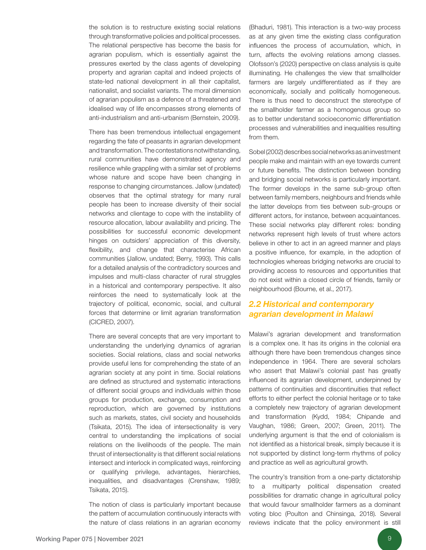the solution is to restructure existing social relations through transformative policies and political processes. The relational perspective has become the basis for agrarian populism, which is essentially against the pressures exerted by the class agents of developing property and agrarian capital and indeed projects of state-led national development in all their capitalist, nationalist, and socialist variants. The moral dimension of agrarian populism as a defence of a threatened and idealised way of life encompasses strong elements of anti-industrialism and anti-urbanism (Bernstein, 2009).

There has been tremendous intellectual engagement regarding the fate of peasants in agrarian development and transformation. The contestations notwithstanding, rural communities have demonstrated agency and resilience while grappling with a similar set of problems whose nature and scope have been changing in response to changing circumstances. Jallow (undated) observes that the optimal strategy for many rural people has been to increase diversity of their social networks and clientage to cope with the instability of resource allocation, labour availability and pricing. The possibilities for successful economic development hinges on outsiders' appreciation of this diversity, flexibility, and change that characterise African communities (Jallow, undated; Berry, 1993). This calls for a detailed analysis of the contradictory sources and impulses and multi-class character of rural struggles in a historical and contemporary perspective. It also reinforces the need to systematically look at the trajectory of political, economic, social, and cultural forces that determine or limit agrarian transformation (CICRED, 2007).

There are several concepts that are very important to understanding the underlying dynamics of agrarian societies. Social relations, class and social networks provide useful lens for comprehending the state of an agrarian society at any point in time. Social relations are defined as structured and systematic interactions of different social groups and individuals within those groups for production, exchange, consumption and reproduction, which are governed by institutions such as markets, states, civil society and households (Tsikata, 2015). The idea of intersectionality is very central to understanding the implications of social relations on the livelihoods of the people. The main thrust of intersectionality is that different social relations intersect and interlock in complicated ways, reinforcing or qualifying privilege, advantages, hierarchies, inequalities, and disadvantages (Crenshaw, 1989; Tsikata, 2015).

The notion of class is particularly important because the pattern of accumulation continuously interacts with the nature of class relations in an agrarian economy (Bhaduri, 1981). This interaction is a two-way process as at any given time the existing class configuration influences the process of accumulation, which, in turn, affects the evolving relations among classes. Olofsson's (2020) perspective on class analysis is quite illuminating. He challenges the view that smallholder farmers are largely undifferentiated as if they are economically, socially and politically homogeneous. There is thus need to deconstruct the stereotype of the smallholder farmer as a homogenous group so as to better understand socioeconomic differentiation processes and vulnerabilities and inequalities resulting from them.

Sobel (2002) describes social networks as an investment people make and maintain with an eye towards current or future benefits. The distinction between bonding and bridging social networks is particularly important. The former develops in the same sub-group often between family members, neighbours and friends while the latter develops from ties between sub-groups or different actors, for instance, between acquaintances. These social networks play different roles: bonding networks represent high levels of trust where actors believe in other to act in an agreed manner and plays a positive influence, for example, in the adoption of technologies whereas bridging networks are crucial to providing access to resources and opportunities that do not exist within a closed circle of friends, family or neighbourhood (Bourne, et al., 2017).

### *2.2 Historical and contemporary agrarian development in Malawi*

Malawi's agrarian development and transformation is a complex one. It has its origins in the colonial era although there have been tremendous changes since independence in 1964. There are several scholars who assert that Malawi's colonial past has greatly influenced its agrarian development, underpinned by patterns of continuities and discontinuities that reflect efforts to either perfect the colonial heritage or to take a completely new trajectory of agrarian development and transformation (Kydd, 1984; Chipande and Vaughan, 1986; Green, 2007; Green, 2011). The underlying argument is that the end of colonialism is not identified as a historical break, simply because it is not supported by distinct long-term rhythms of policy and practice as well as agricultural growth.

The country's transition from a one-party dictatorship to a multiparty political dispensation created possibilities for dramatic change in agricultural policy that would favour smallholder farmers as a dominant voting bloc (Poulton and Chinsinga, 2018). Several reviews indicate that the policy environment is still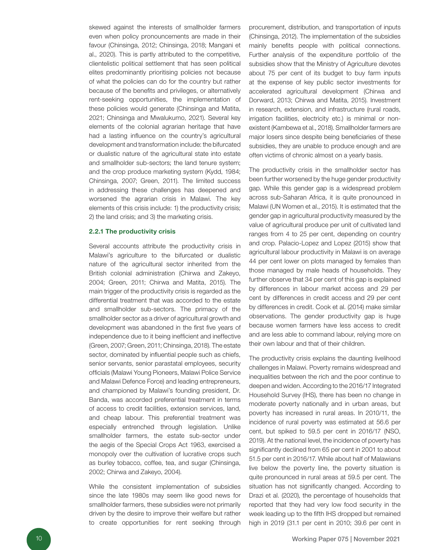skewed against the interests of smallholder farmers even when policy pronouncements are made in their favour (Chinsinga, 2012; Chinsinga, 2018; Mangani et al., 2020). This is partly attributed to the competitive, clientelistic political settlement that has seen political elites predominantly prioritising policies not because of what the policies can do for the country but rather because of the benefits and privileges, or alternatively rent-seeking opportunities, the implementation of these policies would generate (Chinsinga and Matita, 2021; Chinsinga and Mwalukumo, 2021). Several key elements of the colonial agrarian heritage that have had a lasting influence on the country's agricultural development and transformation include: the bifurcated or dualistic nature of the agricultural state into estate and smallholder sub-sectors; the land tenure system; and the crop produce marketing system (Kydd, 1984; Chinsinga, 2007; Green, 2011). The limited success in addressing these challenges has deepened and worsened the agrarian crisis in Malawi. The key elements of this crisis include: 1) the productivity crisis; 2) the land crisis; and 3) the marketing crisis.

#### 2.2.1 The productivity crisis

Several accounts attribute the productivity crisis in Malawi's agriculture to the bifurcated or dualistic nature of the agricultural sector inherited from the British colonial administration (Chirwa and Zakeyo, 2004; Green, 2011; Chirwa and Matita, 2015). The main trigger of the productivity crisis is regarded as the differential treatment that was accorded to the estate and smallholder sub-sectors. The primacy of the smallholder sector as a driver of agricultural growth and development was abandoned in the first five years of independence due to it being inefficient and ineffective (Green, 2007; Green, 2011; Chinsinga, 2018). The estate sector, dominated by influential people such as chiefs, senior servants, senior parastatal employees, security officials (Malawi Young Pioneers, Malawi Police Service and Malawi Defence Force) and leading entrepreneurs, and championed by Malawi's founding president, Dr. Banda, was accorded preferential treatment in terms of access to credit facilities, extension services, land, and cheap labour. This preferential treatment was especially entrenched through legislation. Unlike smallholder farmers, the estate sub-sector under the aegis of the Special Crops Act 1963, exercised a monopoly over the cultivation of lucrative crops such as burley tobacco, coffee, tea, and sugar (Chinsinga, 2002; Chirwa and Zakeyo, 2004).

While the consistent implementation of subsidies since the late 1980s may seem like good news for smallholder farmers, these subsidies were not primarily driven by the desire to improve their welfare but rather to create opportunities for rent seeking through

procurement, distribution, and transportation of inputs (Chinsinga, 2012). The implementation of the subsidies mainly benefits people with political connections. Further analysis of the expenditure portfolio of the subsidies show that the Ministry of Agriculture devotes about 75 per cent of its budget to buy farm inputs at the expense of key public sector investments for accelerated agricultural development (Chirwa and Dorward, 2013; Chirwa and Matita, 2015). Investment in research, extension, and infrastructure (rural roads, irrigation facilities, electricity etc.) is minimal or nonexistent (Kambewa et al., 2018). Smallholder farmers are major losers since despite being beneficiaries of these subsidies, they are unable to produce enough and are often victims of chronic almost on a yearly basis.

The productivity crisis in the smallholder sector has been further worsened by the huge gender productivity gap. While this gender gap is a widespread problem across sub-Saharan Africa, it is quite pronounced in Malawi (UN Women et al., 2015). It is estimated that the gender gap in agricultural productivity measured by the value of agricultural produce per unit of cultivated land ranges from 4 to 25 per cent, depending on country and crop. Palacio-Lopez and Lopez (2015) show that agricultural labour productivity in Malawi is on average 44 per cent lower on plots managed by females than those managed by male heads of households. They further observe that 34 per cent of this gap is explained by differences in labour market access and 29 per cent by differences in credit access and 29 per cent by differences in credit. Cook et al. (2014) make similar observations. The gender productivity gap is huge because women farmers have less access to credit and are less able to command labour, relying more on their own labour and that of their children.

The productivity crisis explains the daunting livelihood challenges in Malawi. Poverty remains widespread and inequalities between the rich and the poor continue to deepen and widen. According to the 2016/17 Integrated Household Survey (IHS), there has been no change in moderate poverty nationally and in urban areas, but poverty has increased in rural areas. In 2010/11, the incidence of rural poverty was estimated at 56.6 per cent, but spiked to 59.5 per cent in 2016/17 (NSO, 2019). At the national level, the incidence of poverty has significantly declined from 65 per cent in 2001 to about 51.5 per cent in 2016/17. While about half of Malawians live below the poverty line, the poverty situation is quite pronounced in rural areas at 59.5 per cent. The situation has not significantly changed. According to Drazi et al. (2020), the percentage of households that reported that they had very low food security in the week leading up to the fifth IHS dropped but remained high in 2019 (31.1 per cent in 2010; 39.6 per cent in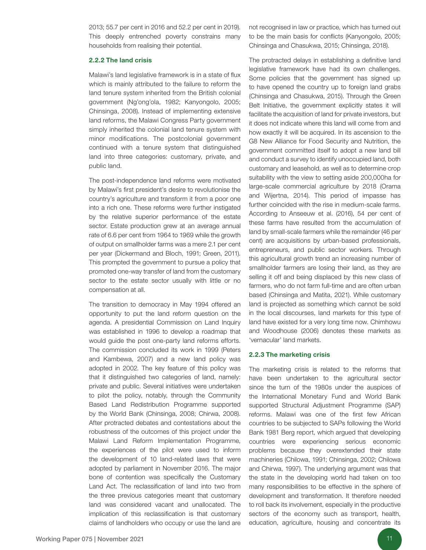2013; 55.7 per cent in 2016 and 52.2 per cent in 2019). This deeply entrenched poverty constrains many households from realising their potential.

#### 2.2.2 The land crisis

Malawi's land legislative framework is in a state of flux which is mainly attributed to the failure to reform the land tenure system inherited from the British colonial government (Ng'ong'ola, 1982; Kanyongolo, 2005; Chinsinga, 2008). Instead of implementing extensive land reforms, the Malawi Congress Party government simply inherited the colonial land tenure system with minor modifications. The postcolonial government continued with a tenure system that distinguished land into three categories: customary, private, and public land.

The post-independence land reforms were motivated by Malawi's first president's desire to revolutionise the country's agriculture and transform it from a poor one into a rich one. These reforms were further instigated by the relative superior performance of the estate sector. Estate production grew at an average annual rate of 6.6 per cent from 1964 to 1969 while the growth of output on smallholder farms was a mere 2.1 per cent per year (Dickermand and Bloch, 1991; Green, 2011). This prompted the government to pursue a policy that promoted one-way transfer of land from the customary sector to the estate sector usually with little or no compensation at all.

The transition to democracy in May 1994 offered an opportunity to put the land reform question on the agenda. A presidential Commission on Land Inquiry was established in 1996 to develop a roadmap that would guide the post one-party land reforms efforts. The commission concluded its work in 1999 (Peters and Kambewa, 2007) and a new land policy was adopted in 2002. The key feature of this policy was that it distinguished two categories of land, namely: private and public. Several initiatives were undertaken to pilot the policy, notably, through the Community Based Land Redistribution Programme supported by the World Bank (Chinsinga, 2008; Chirwa, 2008). After protracted debates and contestations about the robustness of the outcomes of this project under the Malawi Land Reform Implementation Programme, the experiences of the pilot were used to inform the development of 10 land-related laws that were adopted by parliament in November 2016. The major bone of contention was specifically the Customary Land Act. The reclassification of land into two from the three previous categories meant that customary land was considered vacant and unallocated. The implication of this reclassification is that customary claims of landholders who occupy or use the land are

not recognised in law or practice, which has turned out to be the main basis for conflicts (Kanyongolo, 2005; Chinsinga and Chasukwa, 2015; Chinsinga, 2018).

The protracted delays in establishing a definitive land legislative framework have had its own challenges. Some policies that the government has signed up to have opened the country up to foreign land grabs (Chinsinga and Chasukwa, 2015). Through the Green Belt Initiative, the government explicitly states it will facilitate the acquisition of land for private investors, but it does not indicate where this land will come from and how exactly it will be acquired. In its ascension to the G8 New Alliance for Food Security and Nutrition, the government committed itself to adopt a new land bill and conduct a survey to identify unoccupied land, both customary and leasehold, as well as to determine crop suitability with the view to setting aside 200,000ha for large-scale commercial agriculture by 2018 (Orama and Wijertna, 2014). This period of impasse has further coincided with the rise in medium-scale farms. According to Anseeuw et al. (2016), 54 per cent of these farms have resulted from the accumulation of land by small-scale farmers while the remainder (46 per cent) are acquisitions by urban-based professionals, entrepreneurs, and public sector workers. Through this agricultural growth trend an increasing number of smallholder farmers are losing their land, as they are selling it off and being displaced by this new class of farmers, who do not farm full-time and are often urban based (Chinsinga and Matita, 2021). While customary land is projected as something which cannot be sold in the local discourses, land markets for this type of land have existed for a very long time now. Chimhowu and Woodhouse (2006) denotes these markets as 'vernacular' land markets.

#### 2.2.3 The marketing crisis

The marketing crisis is related to the reforms that have been undertaken to the agricultural sector since the turn of the 1980s under the auspices of the International Monetary Fund and World Bank supported Structural Adjustment Programme (SAP) reforms. Malawi was one of the first few African countries to be subjected to SAPs following the World Bank 1981 Berg report, which argued that developing countries were experiencing serious economic problems because they overextended their state machineries (Chilowa, 1991; Chinsinga, 2002; Chilowa and Chirwa, 1997). The underlying argument was that the state in the developing world had taken on too many responsibilities to be effective in the sphere of development and transformation. It therefore needed to roll back its involvement, especially in the productive sectors of the economy such as transport, health, education, agriculture, housing and concentrate its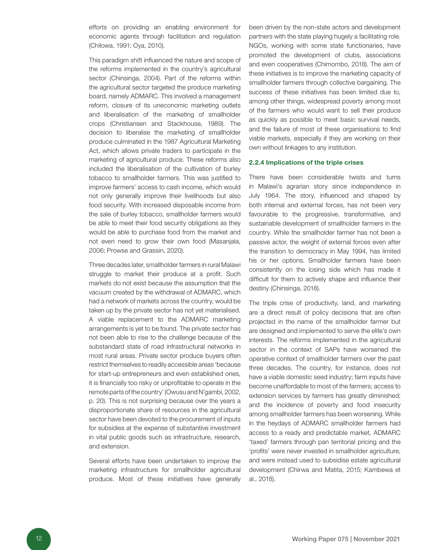efforts on providing an enabling environment for economic agents through facilitation and regulation (Chilowa, 1991; Oya, 2010).

This paradigm shift influenced the nature and scope of the reforms implemented in the country's agricultural sector (Chinsinga, 2004). Part of the reforms within the agricultural sector targeted the produce marketing board, namely ADMARC. This involved a management reform, closure of its uneconomic marketing outlets and liberalisation of the marketing of smallholder crops (Christiansen and Stackhouse, 1989). The decision to liberalise the marketing of smallholder produce culminated in the 1987 Agricultural Marketing Act, which allows private traders to participate in the marketing of agricultural produce. These reforms also included the liberalisation of the cultivation of burley tobacco to smallholder farmers. This was justified to improve farmers' access to cash income, which would not only generally improve their livelihoods but also food security. With increased disposable income from the sale of burley tobacco, smallholder farmers would be able to meet their food security obligations as they would be able to purchase food from the market and not even need to grow their own food (Masanjala, 2006; Prowse and Grassin, 2020).

Three decades later, smallholder farmers in rural Malawi struggle to market their produce at a profit. Such markets do not exist because the assumption that the vacuum created by the withdrawal of ADMARC, which had a network of markets across the country, would be taken up by the private sector has not yet materialised. A viable replacement to the ADMARC marketing arrangements is yet to be found. The private sector has not been able to rise to the challenge because of the substandard state of road infrastructural networks in most rural areas. Private sector produce buyers often restrict themselves to readily accessible areas 'because for start-up entrepreneurs and even established ones, it is financially too risky or unprofitable to operate in the remote parts of the country' (Owusu and N'gambi, 2002, p. 20). This is not surprising because over the years a disproportionate share of resources in the agricultural sector have been devoted to the procurement of inputs for subsidies at the expense of substantive investment in vital public goods such as infrastructure, research, and extension.

Several efforts have been undertaken to improve the marketing infrastructure for smallholder agricultural produce. Most of these initiatives have generally been driven by the non-state actors and development partners with the state playing hugely a facilitating role. NGOs, working with some state functionaries, have promoted the development of clubs, associations and even cooperatives (Chimombo, 2018). The aim of these initiatives is to improve the marketing capacity of smallholder farmers through collective bargaining. The success of these initiatives has been limited due to, among other things, widespread poverty among most of the farmers who would want to sell their produce as quickly as possible to meet basic survival needs, and the failure of most of these organisations to find viable markets, especially if they are working on their own without linkages to any institution.

#### 2.2.4 Implications of the triple crises

There have been considerable twists and turns in Malawi's agrarian story since independence in July 1964. The story, influenced and shaped by both internal and external forces, has not been very favourable to the progressive, transformative, and sustainable development of smallholder farmers in the country. While the smallholder farmer has not been a passive actor, the weight of external forces even after the transition to democracy in May 1994, has limited his or her options. Smallholder farmers have been consistently on the losing side which has made it difficult for them to actively shape and influence their destiny (Chinsinga, 2018).

The triple crise of productivity, land, and marketing are a direct result of policy decisions that are often projected in the name of the smallholder farmer but are designed and implemented to serve the elite's own interests. The reforms implemented in the agricultural sector in the context of SAPs have worsened the operative context of smallholder farmers over the past three decades. The country, for instance, does not have a viable domestic seed industry; farm inputs have become unaffordable to most of the farmers; access to extension services by farmers has greatly diminished; and the incidence of poverty and food insecurity among smallholder farmers has been worsening. While in the heydays of ADMARC smallholder farmers had access to a ready and predictable market, ADMARC 'taxed' farmers through pan territorial pricing and the 'profits' were never invested in smallholder agriculture, and were instead used to subsidise estate agricultural development (Chirwa and Matita, 2015; Kambewa et al., 2018).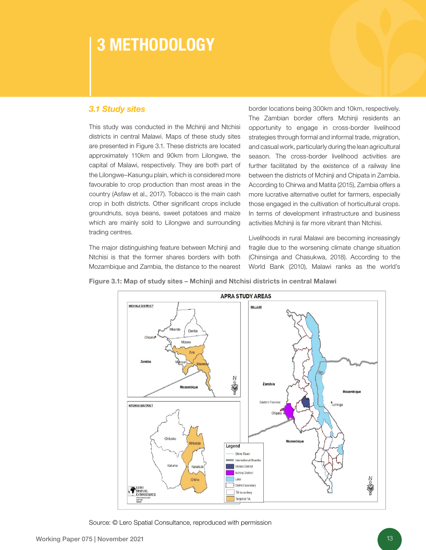# 3 METHODOLOGY

### *3.1 Study sites*

This study was conducted in the Mchinji and Ntchisi districts in central Malawi. Maps of these study sites are presented in Figure 3.1. These districts are located approximately 110km and 90km from Lilongwe, the capital of Malawi, respectively. They are both part of the Lilongwe–Kasungu plain, which is considered more favourable to crop production than most areas in the country (Asfaw et al., 2017). Tobacco is the main cash crop in both districts. Other significant crops include groundnuts, soya beans, sweet potatoes and maize which are mainly sold to Lilongwe and surrounding trading centres.

The major distinguishing feature between Mchinji and Ntchisi is that the former shares borders with both Mozambique and Zambia, the distance to the nearest border locations being 300km and 10km, respectively. The Zambian border offers Mchinji residents an opportunity to engage in cross-border livelihood strategies through formal and informal trade, migration, and casual work, particularly during the lean agricultural season. The cross-border livelihood activities are further facilitated by the existence of a railway line between the districts of Mchinji and Chipata in Zambia. According to Chirwa and Matita (2015), Zambia offers a more lucrative alternative outlet for farmers, especially those engaged in the cultivation of horticultural crops. In terms of development infrastructure and business activities Mchinji is far more vibrant than Ntchisi.

Livelihoods in rural Malawi are becoming increasingly fragile due to the worsening climate change situation (Chinsinga and Chasukwa, 2018). According to the World Bank (2010), Malawi ranks as the world's

Figure 3.1: Map of study sites – Mchinji and Ntchisi districts in central Malawi



Source: © Lero Spatial Consultance, reproduced with permission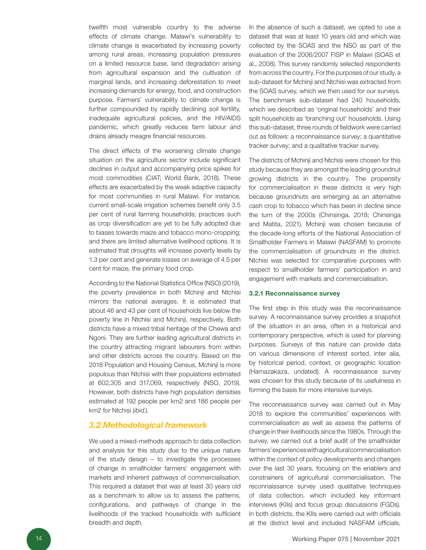twelfth most vulnerable country to the adverse effects of climate change. Malawi's vulnerability to climate change is exacerbated by increasing poverty among rural areas, increasing population pressures on a limited resource base, land degradation arising from agricultural expansion and the cultivation of marginal lands, and increasing deforestation to meet increasing demands for energy, food, and construction purpose. Farmers' vulnerability to climate change is further compounded by rapidly declining soil fertility, inadequate agricultural policies, and the HIV/AIDS pandemic, which greatly reduces farm labour and drains already meagre financial resources.

The direct effects of the worsening climate change situation on the agriculture sector include significant declines in output and accompanying price spikes for most commodities (CIAT; World Bank, 2018). These effects are exacerbated by the weak adaptive capacity for most communities in rural Malawi. For instance, current small-scale irrigation schemes benefit only 3.5 per cent of rural farming households; practices such as crop diversification are yet to be fully adopted due to biases towards maize and tobacco mono-cropping; and there are limited alternative livelihood options. It is estimated that droughts will increase poverty levels by 1.3 per cent and generate losses on average of 4.5 per cent for maize, the primary food crop.

According to the National Statistics Office (NSO) (2019), the poverty prevalence in both Mchinji and Ntchisi mirrors the national averages. It is estimated that about 46 and 43 per cent of households live below the poverty line in Ntchisi and Mchinji, respectively. Both districts have a mixed tribal heritage of the Chewa and Ngoni. They are further leading agricultural districts in the country attracting migrant labourers from within and other districts across the country. Based on the 2018 Population and Housing Census, Mchinji is more populous than Ntchisi with their populations estimated at 602,305 and 317,069, respectively (NSO, 2019). However, both districts have high population densities estimated at 192 people per km2 and 186 people per km2 for Ntchisi (*ibid*.).

#### *3.2 Methodological framework*

We used a mixed-methods approach to data collection and analysis for this study due to the unique nature of the study design – to investigate the processes of change in smallholder farmers' engagement with markets and inherent pathways of commercialisation. This required a dataset that was at least 30 years old as a benchmark to allow us to assess the patterns, configurations, and pathways of change in the livelihoods of the tracked households with sufficient breadth and depth.

In the absence of such a dataset, we opted to use a dataset that was at least 10 years old and which was collected by the SOAS and the NSO as part of the evaluation of the 2006/2007 FISP in Malawi (SOAS et al., 2008). This survey randomly selected respondents from across the country. For the purposes of our study, a sub-dataset for Mchinji and Ntchisi was extracted from the SOAS survey, which we then used for our surveys. The benchmark sub-dataset had 240 households, which we described as 'original households' and their split households as 'branching out' households. Using this sub-dataset, three rounds of fieldwork were carried out as follows: a reconnaissance survey; a quantitative tracker survey; and a qualitative tracker survey.

The districts of Mchinji and Ntchisi were chosen for this study because they are amongst the leading groundnut growing districts in the country. The propensity for commercialisation in these districts is very high because groundnuts are emerging as an alternative cash crop to tobacco which has been in decline since the turn of the 2000s (Chinsinga, 2018; Chinsinga and Matita, 2021). Mchinji was chosen because of the decade-long efforts of the National Association of Smallholder Farmers in Malawi (NASFAM) to promote the commercialisation of groundnuts in the district. Ntchisi was selected for comparative purposes with respect to smallholder farmers' participation in and engagement with markets and commercialisation.

#### 3.2.1 Reconnaissance survey

The first step in this study was the reconnaissance survey. A reconnaissance survey provides a snapshot of the situation in an area, often in a historical and contemporary perspective, which is used for planning purposes. Surveys of this nature can provide data on various dimensions of interest sorted, inter alia, by historical period, context, or geographic location (Hamazakaza, undated). A reconnaissance survey was chosen for this study because of its usefulness in forming the basis for more intensive surveys.

The reconnaissance survey was carried out in May 2018 to explore the communities' experiences with commercialisation as well as assess the patterns of change in their livelihoods since the 1980s. Through the survey, we carried out a brief audit of the smallholder farmers' experiences with agricultural commercialisation within the context of policy developments and changes over the last 30 years, focusing on the enablers and constrainers of agricultural commercialisation. The reconnaissance survey used qualitative techniques of data collection, which included key informant interviews (KIIs) and focus group discussions (FGDs). In both districts, the KIIs were carried out with officials at the district level and included NASFAM officials,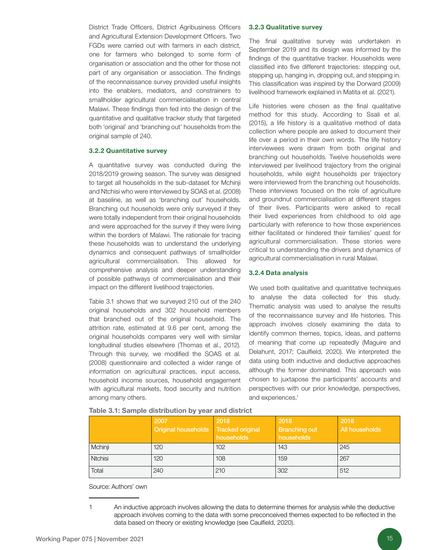District Trade Officers, District Agribusiness Officers and Agricultural Extension Development Officers. Two FGDs were carried out with farmers in each district, one for farmers who belonged to some form of organisation or association and the other for those not part of any organisation or association. The findings of the reconnaissance survey provided useful insights into the enablers, mediators, and constrainers to smallholder agricultural commercialisation in central Malawi. These findings then fed into the design of the quantitative and qualitative tracker study that targeted both 'original' and 'branching out' households from the original sample of 240.

#### 3.2.2 Quantitative survey

A quantitative survey was conducted during the 2018/2019 growing season. The survey was designed to target all households in the sub-dataset for Mchinji and Ntchisi who were interviewed by SOAS et al. (2008) at baseline, as well as 'branching out' households. Branching out households were only surveyed if they were totally independent from their original households and were approached for the survey if they were living within the borders of Malawi. The rationale for tracing these households was to understand the underlying dynamics and consequent pathways of smallholder agricultural commercialisation. This allowed for comprehensive analysis and deeper understanding of possible pathways of commercialisation and their impact on the different livelihood trajectories.

Table 3.1 shows that we surveyed 210 out of the 240 original households and 302 household members that branched out of the original household. The attrition rate, estimated at 9.6 per cent, among the original households compares very well with similar longitudinal studies elsewhere (Thomas et al., 2012). Through this survey, we modified the SOAS et al. (2008) questionnaire and collected a wider range of information on agricultural practices, input access, household income sources, household engagement with agricultural markets, food security and nutrition among many others.

#### 3.2.3 Qualitative survey

The final qualitative survey was undertaken in September 2019 and its design was informed by the findings of the quantitative tracker. Households were classified into five different trajectories: stepping out, stepping up, hanging in, dropping out, and stepping in. This classification was inspired by the Dorward (2009) livelihood framework explained in Matita et al. (2021).

Life histories were chosen as the final qualitative method for this study. According to Ssali et al. (2015), a life history is a qualitative method of data collection where people are asked to document their life over a period in their own words. The life history interviewees were drawn from both original and branching out households. Twelve households were interviewed per livelihood trajectory from the original households, while eight households per trajectory were interviewed from the branching out households. These interviews focused on the role of agriculture and groundnut commercialisation at different stages of their lives. Participants were asked to recall their lived experiences from childhood to old age particularly with reference to how those experiences either facilitated or hindered their families' quest for agricultural commercialisation. These stories were critical to understanding the drivers and dynamics of agricultural commercialisation in rural Malawi.

#### 3.2.4 Data analysis

We used both qualitative and quantitative techniques to analyse the data collected for this study. Thematic analysis was used to analyse the results of the reconnaissance survey and life histories. This approach involves closely examining the data to identify common themes, topics, ideas, and patterns of meaning that come up repeatedly (Maguire and Delahunt, 2017; Caulfield, 2020). We interpreted the data using both inductive and deductive approaches although the former dominated. This approach was chosen to juxtapose the participants' accounts and perspectives with our prior knowledge, perspectives, and experiences.<sup>1</sup>

|         | 2007<br>Original households | 2018<br><b>Tracked original</b><br>households | 2018<br><b>Branching out</b><br>households | 2018<br>All households |
|---------|-----------------------------|-----------------------------------------------|--------------------------------------------|------------------------|
| Mchinji | 120                         | 102                                           | 143                                        | 245                    |
| Ntchisi | 120                         | 108                                           | 159                                        | 267                    |
| Total   | 240                         | 210                                           | 302                                        | 512                    |

| Table 3.1: Sample distribution by year and district |  |  |  |  |  |
|-----------------------------------------------------|--|--|--|--|--|
|-----------------------------------------------------|--|--|--|--|--|

Source: Authors' own

<sup>1</sup> An inductive approach involves allowing the data to determine themes for analysis while the deductive approach involves coming to the data with some preconceived themes expected to be reflected in the data based on theory or existing knowledge (see Caulfield, 2020).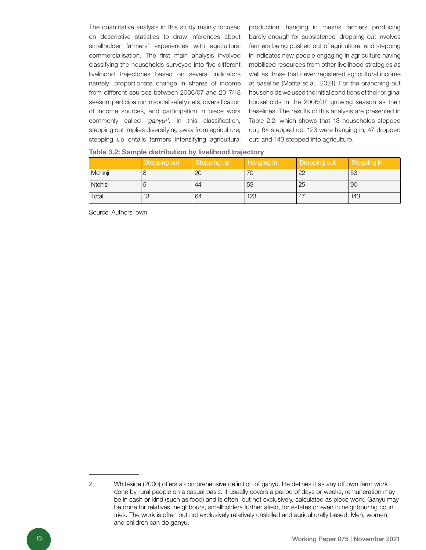The quantitative analysis in this study mainly focused on descriptive statistics to draw inferences about smallholder farmers' experiences with agricultural commercialisation. The first main analysis involved classifying the households surveyed into five different livelihood trajectories based on several indicators namely: proportionate change in shares of income from different sources between 2006/07 and 2017/18 season, participation in social safety nets, diversification of income sources, and participation in piece work commonly called '*ganyu*<sup>2</sup> '. In this classification, stepping out implies diversifying away from agriculture; stepping up entails farmers intensifying agricultural production; hanging in means farmers producing barely enough for subsistence; dropping out involves farmers being pushed out of agriculture; and stepping in indicates new people engaging in agriculture having mobilised resources from other livelihood strategies as well as those that never registered agricultural income at baseline (Matita et al., 2021). For the branching out households we used the initial conditions of their original households in the 2006/07 growing season as their baselines. The results of this analysis are presented in Table 2.2, which shows that 13 households stepped out; 64 stepped up; 123 were hanging in; 47 dropped out; and 143 stepped into agriculture.

|  |  | Table 3.2: Sample distribution by livelihood trajectory |  |  |  |  |
|--|--|---------------------------------------------------------|--|--|--|--|
|--|--|---------------------------------------------------------|--|--|--|--|

|                | Stepping out | Stepping up | Hanging in | Dropping out | Stepping in |
|----------------|--------------|-------------|------------|--------------|-------------|
| Mchinji        |              | 20          | 70         | 22           | 53          |
| <b>Ntchisi</b> |              | 44          | 53         | 25           | 90          |
| Total          | 13           | 64          | 123        | 47           | 143         |

Source: Authors' own

<sup>2</sup> Whiteside (2000) offers a comprehensive definition of ganyu. He defines it as any off own farm work done by rural people on a casual basis. It usually covers a period of days or weeks, remuneration may be in cash or kind (such as food) and is often, but not exclusively, calculated as piece work. Ganyu may be done for relatives, neighbours, smallholders further afield, for estates or even in neighbouring coun tries. The work is often but not exclusively relatively unskilled and agriculturally based. Men, women, and children can do ganyu.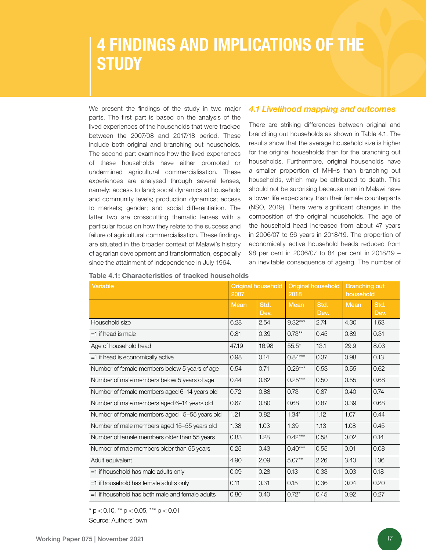# 4 FINDINGS AND IMPLICATIONS OF THE **STUDY**

We present the findings of the study in two major parts. The first part is based on the analysis of the lived experiences of the households that were tracked between the 2007/08 and 2017/18 period. These include both original and branching out households. The second part examines how the lived experiences of these households have either promoted or undermined agricultural commercialisation. These experiences are analysed through several lenses, namely: access to land; social dynamics at household and community levels; production dynamics; access to markets; gender; and social differentiation. The latter two are crosscutting thematic lenses with a particular focus on how they relate to the success and failure of agricultural commercialisation. These findings are situated in the broader context of Malawi's history of agrarian development and transformation, especially since the attainment of independence in July 1964.

#### *4.1 Livelihood mapping and outcomes*

There are striking differences between original and branching out households as shown in Table 4.1. The results show that the average household size is higher for the original households than for the branching out households. Furthermore, original households have a smaller proportion of MHHs than branching out households, which may be attributed to death. This should not be surprising because men in Malawi have a lower life expectancy than their female counterparts (NSO, 2019). There were significant changes in the composition of the original households. The age of the household head increased from about 47 years in 2006/07 to 56 years in 2018/19. The proportion of economically active household heads reduced from 98 per cent in 2006/07 to 84 per cent in 2018/19 – an inevitable consequence of ageing. The number of

| <b>Variable</b>                                    | 2007  | <b>Original household</b> | 2018        | <b>Original household</b> | <b>Branching out</b><br>household |              |
|----------------------------------------------------|-------|---------------------------|-------------|---------------------------|-----------------------------------|--------------|
|                                                    | Mean  | Std.<br>Dev.              | <b>Mean</b> | Std.<br>Dev.              | <b>Mean</b>                       | Std.<br>Dev. |
| Household size                                     | 6.28  | 2.54                      | $9.32***$   | 2.74                      | 4.30                              | 1.63         |
| $=1$ if head is male                               | 0.81  | 0.39                      | $0.73***$   | 0.45                      | 0.89                              | 0.31         |
| Age of household head                              | 47.19 | 16.98                     | $55.5*$     | 13.1                      | 29.9                              | 8.03         |
| =1 if head is economically active                  | 0.98  | 0.14                      | $0.84***$   | 0.37                      | 0.98                              | 0.13         |
| Number of female members below 5 years of age      | 0.54  | 0.71                      | $0.26***$   | 0.53                      | 0.55                              | 0.62         |
| Number of male members below 5 years of age        | 0.44  | 0.62                      | $0.25***$   | 0.50                      | 0.55                              | 0.68         |
| Number of female members aged 6-14 years old       | 0.72  | 0.88                      | 0.73        | 0.87                      | 0.40                              | 0.74         |
| Number of male members aged 6-14 years old         | 0.67  | 0.80                      | 0.68        | 0.87                      | 0.39                              | 0.68         |
| Number of female members aged 15-55 years old      | 1.21  | 0.82                      | $1.34*$     | 1.12                      | 1.07                              | 0.44         |
| Number of male members aged 15-55 years old        | 1.38  | 1.03                      | 1.39        | 1.13                      | 1.08                              | 0.45         |
| Number of female members older than 55 years       | 0.83  | 1.28                      | $0.42***$   | 0.58                      | 0.02                              | 0.14         |
| Number of male members older than 55 years         | 0.25  | 0.43                      | $0.40***$   | 0.55                      | 0.01                              | 0.08         |
| Adult equivalent                                   | 4.90  | 2.09                      | $5.07***$   | 2.26                      | 3.40                              | 1.36         |
| =1 if household has male adults only               | 0.09  | 0.28                      | 0.13        | 0.33                      | 0.03                              | 0.18         |
| =1 if household has female adults only             | 0.11  | 0.31                      | 0.15        | 0.36                      | 0.04                              | 0.20         |
| $=$ 1 if household has both male and female adults | 0.80  | 0.40                      | $0.72*$     | 0.45                      | 0.92                              | 0.27         |

| Table 4.1: Characteristics of tracked households |  |  |
|--------------------------------------------------|--|--|
|--------------------------------------------------|--|--|

 $*$  p < 0.10,  $*$  p < 0.05,  $*$  $*$  p < 0.01 Source: Authors' own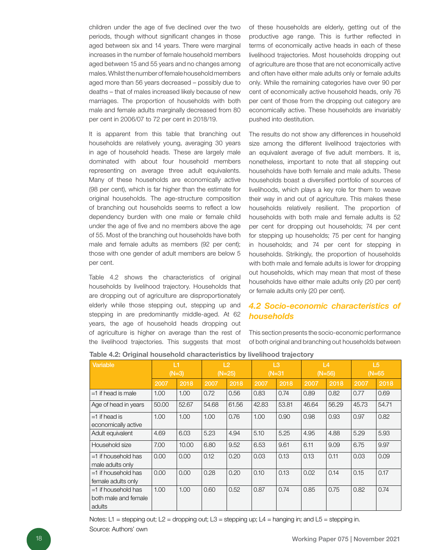children under the age of five declined over the two periods, though without significant changes in those aged between six and 14 years. There were marginal increases in the number of female household members aged between 15 and 55 years and no changes among males. Whilst the number of female household members aged more than 56 years decreased – possibly due to deaths – that of males increased likely because of new marriages. The proportion of households with both male and female adults marginally decreased from 80 per cent in 2006/07 to 72 per cent in 2018/19.

It is apparent from this table that branching out households are relatively young, averaging 30 years in age of household heads. These are largely male dominated with about four household members representing on average three adult equivalents. Many of these households are economically active (98 per cent), which is far higher than the estimate for original households. The age-structure composition of branching out households seems to reflect a low dependency burden with one male or female child under the age of five and no members above the age of 55. Most of the branching out households have both male and female adults as members (92 per cent); those with one gender of adult members are below 5 per cent.

Table 4.2 shows the characteristics of original households by livelihood trajectory. Households that are dropping out of agriculture are disproportionately elderly while those stepping out, stepping up and stepping in are predominantly middle-aged. At 62 years, the age of household heads dropping out of agriculture is higher on average than the rest of the livelihood trajectories. This suggests that most

of these households are elderly, getting out of the productive age range. This is further reflected in terms of economically active heads in each of these livelihood trajectories. Most households dropping out of agriculture are those that are not economically active and often have either male adults only or female adults only. While the remaining categories have over 90 per cent of economically active household heads, only 76 per cent of those from the dropping out category are economically active. These households are invariably pushed into destitution.

The results do not show any differences in household size among the different livelihood trajectories with an equivalent average of five adult members. It is, nonetheless, important to note that all stepping out households have both female and male adults. These households boast a diversified portfolio of sources of livelihoods, which plays a key role for them to weave their way in and out of agriculture. This makes these households relatively resilient. The proportion of households with both male and female adults is 52 per cent for dropping out households; 74 per cent for stepping up households; 75 per cent for hanging in households; and 74 per cent for stepping in households. Strikingly, the proportion of households with both male and female adults is lower for dropping out households, which may mean that most of these households have either male adults only (20 per cent) or female adults only (20 per cent).

### *4.2 Socio-economic characteristics of households*

This section presents the socio-economic performance of both original and branching out households between

| <b>Variable</b>                                         |       | L1<br>$(N=3)$ |       | L2<br>$(N=25)$ |       | L3<br>$(N=31)$ |       | L4<br>$(N=56)$ |       | L <sub>5</sub><br>$(N=65)$ |
|---------------------------------------------------------|-------|---------------|-------|----------------|-------|----------------|-------|----------------|-------|----------------------------|
|                                                         | 2007  | 2018          | 2007  | 2018           | 2007  | 2018           | 2007  | 2018           | 2007  | 2018                       |
| $=1$ if head is male                                    | 1.00  | 1.00          | 0.72  | 0.56           | 0.83  | 0.74           | 0.89  | 0.82           | 0.77  | 0.69                       |
| Age of head in years                                    | 50.00 | 52.67         | 54.68 | 61.56          | 42.83 | 53.81          | 46.64 | 56.29          | 45.73 | 54.71                      |
| $=1$ if head is<br>economically active                  | 1.00  | 1.00          | 1.00  | 0.76           | 1.00  | 0.90           | 0.98  | 0.93           | 0.97  | 0.82                       |
| Adult equivalent                                        | 4.69  | 6.03          | 5.23  | 4.94           | 5.10  | 5.25           | 4.95  | 4.88           | 5.29  | 5.93                       |
| Household size                                          | 7.00  | 10.00         | 6.80  | 9.52           | 6.53  | 9.61           | 6.11  | 9.09           | 6.75  | 9.97                       |
| $=1$ if household has<br>male adults only               | 0.00  | 0.00          | 0.12  | 0.20           | 0.03  | 0.13           | 0.13  | 0.11           | 0.03  | 0.09                       |
| $=1$ if household has<br>female adults only             | 0.00  | 0.00          | 0.28  | 0.20           | 0.10  | 0.13           | 0.02  | 0.14           | 0.15  | 0.17                       |
| $=1$ if household has<br>both male and female<br>adults | 1.00  | 1.00          | 0.60  | 0.52           | 0.87  | 0.74           | 0.85  | 0.75           | 0.82  | 0.74                       |

#### Table 4.2: Original household characteristics by livelihood trajectory

Notes: L1 = stepping out; L2 = dropping out; L3 = stepping up; L4 = hanging in; and L5 = stepping in. Source: Authors' own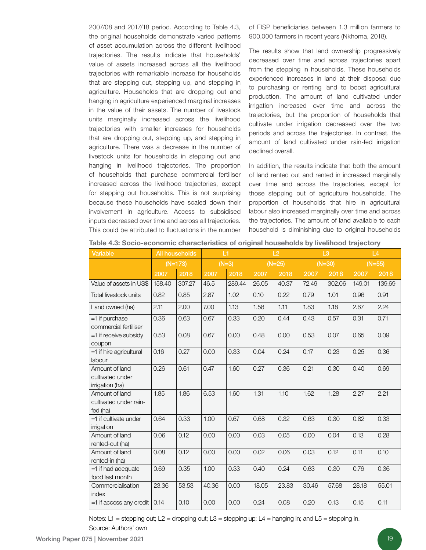2007/08 and 2017/18 period. According to Table 4.3, the original households demonstrate varied patterns of asset accumulation across the different livelihood trajectories. The results indicate that households' value of assets increased across all the livelihood trajectories with remarkable increase for households that are stepping out, stepping up, and stepping in agriculture. Households that are dropping out and hanging in agriculture experienced marginal increases in the value of their assets. The number of livestock units marginally increased across the livelihood trajectories with smaller increases for households that are dropping out, stepping up, and stepping in agriculture. There was a decrease in the number of livestock units for households in stepping out and hanging in livelihood trajectories. The proportion of households that purchase commercial fertiliser increased across the livelihood trajectories, except for stepping out households. This is not surprising because these households have scaled down their involvement in agriculture. Access to subsidised inputs decreased over time and across all trajectories. This could be attributed to fluctuations in the number

of FISP beneficiaries between 1.3 million farmers to 900,000 farmers in recent years (Nkhoma, 2018).

The results show that land ownership progressively decreased over time and across trajectories apart from the stepping in households. These households experienced increases in land at their disposal due to purchasing or renting land to boost agricultural production. The amount of land cultivated under irrigation increased over time and across the trajectories, but the proportion of households that cultivate under irrigation decreased over the two periods and across the trajectories. In contrast, the amount of land cultivated under rain-fed irrigation declined overall.

In addition, the results indicate that both the amount of land rented out and rented in increased marginally over time and across the trajectories, except for those stepping out of agriculture households. The proportion of households that hire in agricultural labour also increased marginally over time and across the trajectories. The amount of land available to each household is diminishing due to original households

| Variable                                              |        | <b>All households</b> |       | L1      |       | L2       |          | L <sub>3</sub> |          | L4     |
|-------------------------------------------------------|--------|-----------------------|-------|---------|-------|----------|----------|----------------|----------|--------|
|                                                       |        | $(N=173)$             |       | $(N=3)$ |       | $(N=25)$ | $(N=30)$ |                | $(N=55)$ |        |
|                                                       | 2007   | 2018                  | 2007  | 2018    | 2007  | 2018     | 2007     | 2018           | 2007     | 2018   |
| Value of assets in US\$                               | 158.40 | 307.27                | 46.5  | 289.44  | 26.05 | 40.37    | 72.49    | 302.06         | 149.01   | 139.69 |
| Total livestock units                                 | 0.82   | 0.85                  | 2.87  | 1.02    | 0.10  | 0.22     | 0.79     | 1.01           | 0.96     | 0.91   |
| Land owned (ha)                                       | 2.11   | 2.00                  | 7.00  | 1.13    | 1.58  | 1.11     | 1.83     | 1.18           | 2.67     | 2.24   |
| =1 if purchase<br>commercial fertiliser               | 0.36   | 0.63                  | 0.67  | 0.33    | 0.20  | 0.44     | 0.43     | 0.57           | 0.31     | 0.71   |
| =1 if receive subsidy<br>coupon                       | 0.53   | 0.08                  | 0.67  | 0.00    | 0.48  | 0.00     | 0.53     | 0.07           | 0.65     | 0.09   |
| =1 if hire agricultural<br>labour                     | 0.16   | 0.27                  | 0.00  | 0.33    | 0.04  | 0.24     | 0.17     | 0.23           | 0.25     | 0.36   |
| Amount of land<br>cultivated under<br>irrigation (ha) | 0.26   | 0.61                  | 0.47  | 1.60    | 0.27  | 0.36     | 0.21     | 0.30           | 0.40     | 0.69   |
| Amount of land<br>cultivated under rain-<br>fed (ha)  | 1.85   | 1.86                  | 6.53  | 1.60    | 1.31  | 1.10     | 1.62     | 1.28           | 2.27     | 2.21   |
| =1 if cultivate under<br>irrigation                   | 0.64   | 0.33                  | 1.00  | 0.67    | 0.68  | 0.32     | 0.63     | 0.30           | 0.82     | 0.33   |
| Amount of land<br>rented-out (ha)                     | 0.06   | 0.12                  | 0.00  | 0.00    | 0.03  | 0.05     | 0.00     | 0.04           | 0.13     | 0.28   |
| Amount of land<br>rented-in (ha)                      | 0.08   | 0.12                  | 0.00  | 0.00    | 0.02  | 0.06     | 0.03     | 0.12           | 0.11     | 0.10   |
| =1 if had adequate<br>food last month                 | 0.69   | 0.35                  | 1.00  | 0.33    | 0.40  | 0.24     | 0.63     | 0.30           | 0.76     | 0.36   |
| Commercialisation<br>index                            | 23.36  | 53.53                 | 40.36 | 0.00    | 18.05 | 23.83    | 30.46    | 57.68          | 28.18    | 55.01  |
| =1 if access any credit                               | 0.14   | 0.10                  | 0.00  | 0.00    | 0.24  | 0.08     | 0.20     | 0.13           | 0.15     | 0.11   |

Table 4.3: Socio-economic characteristics of original households by livelihood trajectory

Notes: L1 = stepping out; L2 = dropping out; L3 = stepping up; L4 = hanging in; and L5 = stepping in.

Source: Authors' own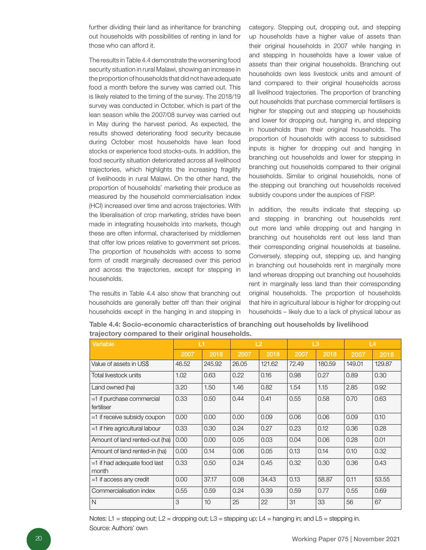further dividing their land as inheritance for branching out households with possibilities of renting in land for those who can afford it.

The results in Table 4.4 demonstrate the worsening food security situation in rural Malawi, showing an increase in the proportion of households that did not have adequate food a month before the survey was carried out. This is likely related to the timing of the survey. The 2018/19 survey was conducted in October, which is part of the lean season while the 2007/08 survey was carried out in May during the harvest period. As expected, the results showed deteriorating food security because during October most households have lean food stocks or experience food stocks-outs. In addition, the food security situation deteriorated across all livelihood trajectories, which highlights the increasing fragility of livelihoods in rural Malawi. On the other hand, the proportion of households' marketing their produce as measured by the household commercialisation index (HCI) increased over time and across trajectories. With the liberalisation of crop marketing, strides have been made in integrating households into markets, though these are often informal, characterised by middlemen that offer low prices relative to government set prices. The proportion of households with access to some form of credit marginally decreased over this period and across the trajectories, except for stepping in households.

The results in Table 4.4 also show that branching out households are generally better off than their original households except in the hanging in and stepping in

category. Stepping out, dropping out, and stepping up households have a higher value of assets than their original households in 2007 while hanging in and stepping in households have a lower value of assets than their original households. Branching out households own less livestock units and amount of land compared to their original households across all livelihood trajectories. The proportion of branching out households that purchase commercial fertilisers is higher for stepping out and stepping up households and lower for dropping out, hanging in, and stepping in households than their original households. The proportion of households with access to subsidised inputs is higher for dropping out and hanging in branching out households and lower for stepping in branching out households compared to their original households. Similar to original households, none of the stepping out branching out households received subsidy coupons under the auspices of FISP.

In addition, the results indicate that stepping up and stepping in branching out households rent out more land while dropping out and hanging in branching out households rent out less land than their corresponding original households at baseline. Conversely, stepping out, stepping up, and hanging in branching out households rent in marginally more land whereas dropping out branching out households rent in marginally less land than their corresponding original households. The proportion of households that hire in agricultural labour is higher for dropping out households – likely due to a lack of physical labour as

| <b>Variable</b>                           | L1    |        |       | L2     |       | L3     |        | L4     |
|-------------------------------------------|-------|--------|-------|--------|-------|--------|--------|--------|
|                                           | 2007  | 2018   | 2007  | 2018   | 2007  | 2018   | 2007   | 2018   |
| Value of assets in US\$                   | 46.52 | 245.92 | 26.05 | 121.62 | 72.49 | 180.59 | 149.01 | 129.87 |
| Total livestock units                     | 1.02  | 0.63   | 0.22  | 0.16   | 0.98  | 0.27   | 0.89   | 0.30   |
| Land owned (ha)                           | 3.20  | 1.50   | 1.46  | 0.82   | 1.54  | 1.15   | 2.85   | 0.92   |
| $=1$ if purchase commercial<br>fertiliser | 0.33  | 0.50   | 0.44  | 0.41   | 0.55  | 0.58   | 0.70   | 0.63   |
| $=1$ if receive subsidy coupon            | 0.00  | 0.00   | 0.00  | 0.09   | 0.06  | 0.06   | 0.09   | 0.10   |
| =1 if hire agricultural labour            | 0.33  | 0.30   | 0.24  | 0.27   | 0.23  | 0.12   | 0.36   | 0.28   |
| Amount of land rented-out (ha)            | 0.00  | 0.00   | 0.05  | 0.03   | 0.04  | 0.06   | 0.28   | 0.01   |
| Amount of land rented-in (ha)             | 0.00  | 0.14   | 0.06  | 0.05   | 0.13  | 0.14   | 0.10   | 0.32   |
| $=1$ if had adequate food last<br>month   | 0.33  | 0.50   | 0.24  | 0.45   | 0.32  | 0.30   | 0.36   | 0.43   |
| =1 if access any credit                   | 0.00  | 37.17  | 0.08  | 34.43  | 0.13  | 58.87  | 0.11   | 53.55  |
| Commercialisation index                   | 0.55  | 0.59   | 0.24  | 0.39   | 0.59  | 0.77   | 0.55   | 0.69   |
| N                                         | 3     | 10     | 25    | 22     | 31    | 33     | 56     | 67     |

Table 4.4: Socio-economic characteristics of branching out households by livelihood trajectory compared to their original households.

Notes: L1 = stepping out; L2 = dropping out; L3 = stepping up; L4 = hanging in; and L5 = stepping in. Source: Authors' own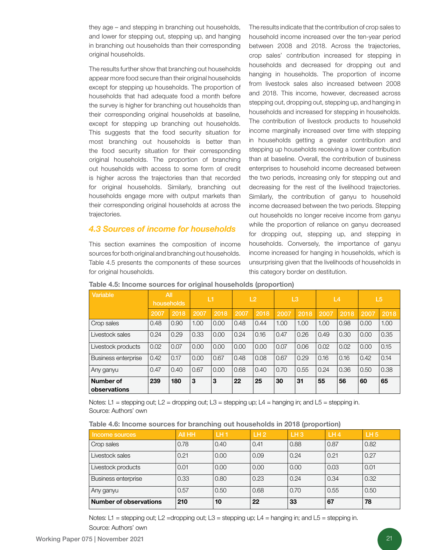they age – and stepping in branching out households, and lower for stepping out, stepping up, and hanging in branching out households than their corresponding original households.

The results further show that branching out households appear more food secure than their original households except for stepping up households. The proportion of households that had adequate food a month before the survey is higher for branching out households than their corresponding original households at baseline, except for stepping up branching out households. This suggests that the food security situation for most branching out households is better than the food security situation for their corresponding original households. The proportion of branching out households with access to some form of credit is higher across the trajectories than that recorded for original households. Similarly, branching out households engage more with output markets than their corresponding original households at across the trajectories.

### *4.3 Sources of income for households*

This section examines the composition of income sources for both original and branching out households. Table 4.5 presents the components of these sources for original households.

The results indicate that the contribution of crop sales to household income increased over the ten-year period between 2008 and 2018. Across the trajectories, crop sales' contribution increased for stepping in households and decreased for dropping out and hanging in households. The proportion of income from livestock sales also increased between 2008 and 2018. This income, however, decreased across stepping out, dropping out, stepping up, and hanging in households and increased for stepping in households. The contribution of livestock products to household income marginally increased over time with stepping in households getting a greater contribution and stepping up households receiving a lower contribution than at baseline. Overall, the contribution of business enterprises to household income decreased between the two periods, increasing only for stepping out and decreasing for the rest of the livelihood trajectories. Similarly, the contribution of ganyu to household income decreased between the two periods. Stepping out households no longer receive income from ganyu while the proportion of reliance on ganyu decreased for dropping out, stepping up, and stepping in households. Conversely, the importance of ganyu income increased for hanging in households, which is unsurprising given that the livelihoods of households in this category border on destitution.

| Variable                   |      | All<br>households | <b>T</b> |      |      | L <sub>2</sub> |      | L3   |      | L4   | L5   |      |
|----------------------------|------|-------------------|----------|------|------|----------------|------|------|------|------|------|------|
|                            | 2007 | 2018              | 2007     | 2018 | 2007 | 2018           | 2007 | 2018 | 2007 | 2018 | 2007 | 2018 |
| Crop sales                 | 0.48 | 0.90              | 1.00     | 0.00 | 0.48 | 0.44           | 1.00 | 1.00 | 1.00 | 0.98 | 0.00 | 1.00 |
| Livestock sales            | 0.24 | 0.29              | 0.33     | 0.00 | 0.24 | 0.16           | 0.47 | 0.26 | 0.49 | 0.30 | 0.00 | 0.35 |
| Livestock products         | 0.02 | 0.07              | 0.00     | 0.00 | 0.00 | 0.00           | 0.07 | 0.06 | 0.02 | 0.02 | 0.00 | 0.15 |
| <b>Business enterprise</b> | 0.42 | 0.17              | 0.00     | 0.67 | 0.48 | 0.08           | 0.67 | 0.29 | 0.16 | 0.16 | 0.42 | 0.14 |
| Any ganyu                  | 0.47 | 0.40              | 0.67     | 0.00 | 0.68 | 0.40           | 0.70 | 0.55 | 0.24 | 0.36 | 0.50 | 0.38 |
| Number of<br>observations  | 239  | 180               | 3        | 3    | 22   | 25             | 30   | 31   | 55   | 56   | 60   | 65   |

#### Table 4.5: Income sources for original households (proportion)

Notes: L1 = stepping out; L2 = dropping out; L3 = stepping up; L4 = hanging in; and L5 = stepping in. Source: Authors' own

|  | Table 4.6: Income sources for branching out households in 2018 (proportion) |  |
|--|-----------------------------------------------------------------------------|--|
|--|-----------------------------------------------------------------------------|--|

| Income sources             | All HH | LH <sub>1</sub> | LH2  | LH <sub>3</sub> | LH4  | LH <sub>5</sub> |
|----------------------------|--------|-----------------|------|-----------------|------|-----------------|
| Crop sales                 | 0.78   | 0.40            | 0.41 | 0.88            | 0.87 | 0.82            |
| Livestock sales            | 0.21   | 0.00            | 0.09 | 0.24            | 0.21 | 0.27            |
| Livestock products         | 0.01   | 0.00            | 0.00 | 0.00            | 0.03 | 0.01            |
| <b>Business enterprise</b> | 0.33   | 0.80            | 0.23 | 0.24            | 0.34 | 0.32            |
| Any ganyu                  | 0.57   | 0.50            | 0.68 | 0.70            | 0.55 | 0.50            |
| Number of observations     | 210    | 10              | 22   | 33              | 67   | 78              |

Notes: L1 = stepping out; L2 =dropping out; L3 = stepping up; L4 = hanging in; and L5 = stepping in. Source: Authors' own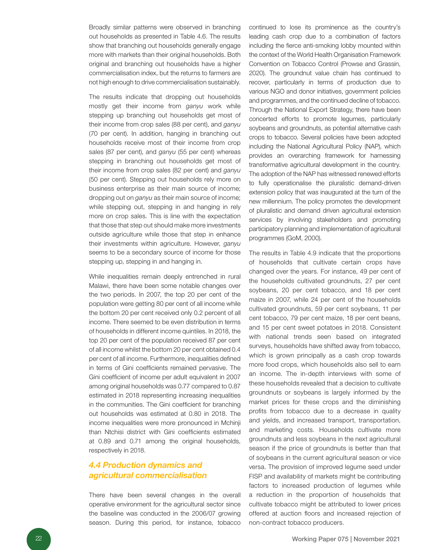Broadly similar patterns were observed in branching out households as presented in Table 4.6. The results show that branching out households generally engage more with markets than their original households. Both original and branching out households have a higher commercialisation index, but the returns to farmers are not high enough to drive commercialisation sustainably.

The results indicate that dropping out households mostly get their income from *ganyu* work while stepping up branching out households get most of their income from crop sales (88 per cent), and *ganyu* (70 per cent). In addition, hanging in branching out households receive most of their income from crop sales (87 per cent), and *ganyu* (55 per cent) whereas stepping in branching out households get most of their income from crop sales (82 per cent) and *ganyu* (50 per cent). Stepping out households rely more on business enterprise as their main source of income; dropping out on *ganyu* as their main source of income; while stepping out, stepping in and hanging in rely more on crop sales. This is line with the expectation that those that step out should make more investments outside agriculture while those that step in enhance their investments within agriculture. However, *ganyu* seems to be a secondary source of income for those stepping up, stepping in and hanging in.

While inequalities remain deeply entrenched in rural Malawi, there have been some notable changes over the two periods. In 2007, the top 20 per cent of the population were getting 80 per cent of all income while the bottom 20 per cent received only 0.2 percent of all income. There seemed to be even distribution in terms of households in different income quintiles. In 2018, the top 20 per cent of the population received 87 per cent of all income whilst the bottom 20 per cent obtained 0.4 per cent of all income. Furthermore, inequalities defined in terms of Gini coefficients remained pervasive. The Gini coefficient of income per adult equivalent in 2007 among original households was 0.77 compared to 0.87 estimated in 2018 representing increasing inequalities in the communities. The Gini coefficient for branching out households was estimated at 0.80 in 2018. The income inequalities were more pronounced in Mchinji than Ntchisi district with Gini coefficients estimated at 0.89 and 0.71 among the original households, respectively in 2018.

### *4.4 Production dynamics and agricultural commercialisation*

There have been several changes in the overall operative environment for the agricultural sector since the baseline was conducted in the 2006/07 growing season. During this period, for instance, tobacco

continued to lose its prominence as the country's leading cash crop due to a combination of factors including the fierce anti-smoking lobby mounted within the context of the World Health Organisation Framework Convention on Tobacco Control (Prowse and Grassin, 2020). The groundnut value chain has continued to recover, particularly in terms of production due to various NGO and donor initiatives, government policies and programmes, and the continued decline of tobacco. Through the National Export Strategy, there have been concerted efforts to promote legumes, particularly soybeans and groundnuts, as potential alternative cash crops to tobacco. Several policies have been adopted including the National Agricultural Policy (NAP), which provides an overarching framework for harnessing transformative agricultural development in the country. The adoption of the NAP has witnessed renewed efforts to fully operationalise the pluralistic demand-driven extension policy that was inaugurated at the turn of the new millennium. The policy promotes the development of pluralistic and demand driven agricultural extension services by involving stakeholders and promoting participatory planning and implementation of agricultural programmes (GoM, 2000).

The results in Table 4.9 indicate that the proportions of households that cultivate certain crops have changed over the years. For instance, 49 per cent of the households cultivated groundnuts, 27 per cent soybeans, 20 per cent tobacco, and 18 per cent maize in 2007, while 24 per cent of the households cultivated groundnuts, 59 per cent soybeans, 11 per cent tobacco, 79 per cent maize, 18 per cent beans, and 15 per cent sweet potatoes in 2018. Consistent with national trends seen based on integrated surveys, households have shifted away from tobacco, which is grown principally as a cash crop towards more food crops, which households also sell to earn an income. The in-depth interviews with some of these households revealed that a decision to cultivate groundnuts or soybeans is largely informed by the market prices for these crops and the diminishing profits from tobacco due to a decrease in quality and yields, and increased transport, transportation, and marketing costs. Households cultivate more groundnuts and less soybeans in the next agricultural season if the price of groundnuts is better than that of soybeans in the current agricultural season or vice versa. The provision of improved legume seed under FISP and availability of markets might be contributing factors to increased production of legumes while a reduction in the proportion of households that cultivate tobacco might be attributed to lower prices offered at auction floors and increased rejection of non-contract tobacco producers.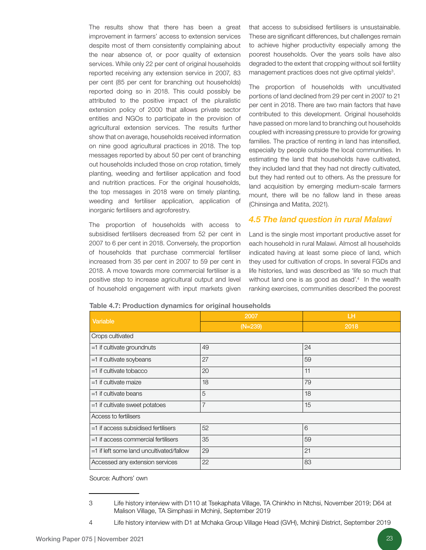The results show that there has been a great improvement in farmers' access to extension services despite most of them consistently complaining about the near absence of, or poor quality of extension services. While only 22 per cent of original households reported receiving any extension service in 2007, 83 per cent (85 per cent for branching out households) reported doing so in 2018. This could possibly be attributed to the positive impact of the pluralistic extension policy of 2000 that allows private sector entities and NGOs to participate in the provision of agricultural extension services. The results further show that on average, households received information on nine good agricultural practices in 2018. The top messages reported by about 50 per cent of branching out households included those on crop rotation, timely planting, weeding and fertiliser application and food and nutrition practices. For the original households, the top messages in 2018 were on timely planting, weeding and fertiliser application, application of inorganic fertilisers and agroforestry.

The proportion of households with access to subsidised fertilisers decreased from 52 per cent in 2007 to 6 per cent in 2018. Conversely, the proportion of households that purchase commercial fertiliser increased from 35 per cent in 2007 to 59 per cent in 2018. A move towards more commercial fertiliser is a positive step to increase agricultural output and level of household engagement with input markets given

that access to subsidised fertilisers is unsustainable. These are significant differences, but challenges remain to achieve higher productivity especially among the poorest households. Over the years soils have also degraded to the extent that cropping without soil fertility management practices does not give optimal yields<sup>3</sup>.

The proportion of households with uncultivated portions of land declined from 29 per cent in 2007 to 21 per cent in 2018. There are two main factors that have contributed to this development. Original households have passed on more land to branching out households coupled with increasing pressure to provide for growing families. The practice of renting in land has intensified, especially by people outside the local communities. In estimating the land that households have cultivated, they included land that they had not directly cultivated, but they had rented out to others. As the pressure for land acquisition by emerging medium-scale farmers mount, there will be no fallow land in these areas (Chinsinga and Matita, 2021).

#### *4.5 The land question in rural Malawi*

Land is the single most important productive asset for each household in rural Malawi. Almost all households indicated having at least some piece of land, which they used for cultivation of crops. In several FGDs and life histories, land was described as 'life so much that without land one is as good as dead'.<sup>4</sup> In the wealth ranking exercises, communities described the poorest

| Variable                                   | 2007           | LH.  |  |  |  |
|--------------------------------------------|----------------|------|--|--|--|
|                                            | $(N=239)$      | 2018 |  |  |  |
| Crops cultivated                           |                |      |  |  |  |
| $=1$ if cultivate groundnuts               | 49             | 24   |  |  |  |
| $=1$ if cultivate soybeans                 | 27             | 59   |  |  |  |
| $=1$ if cultivate tobacco                  | 20             | 11   |  |  |  |
| $=1$ if cultivate maize                    | 18             | 79   |  |  |  |
| $=1$ if cultivate beans                    | 5              | 18   |  |  |  |
| =1 if cultivate sweet potatoes             | $\overline{7}$ | 15   |  |  |  |
| Access to fertilisers                      |                |      |  |  |  |
| =1 if access subsidised fertilisers        | 52             | 6    |  |  |  |
| $=1$ if access commercial fertilisers      | 35             | 59   |  |  |  |
| $=1$ if left some land uncultivated/fallow | 29             | 21   |  |  |  |
| Accessed any extension services            | 22             | 83   |  |  |  |

#### Table 4.7: Production dynamics for original households

Source: Authors' own

<sup>3</sup> Life history interview with D110 at Tsekaphata Village, TA Chinkho in Ntchsi, November 2019; D64 at Malison Village, TA Simphasi in Mchinji, September 2019

<sup>4</sup> Life history interview with D1 at Mchaka Group Village Head (GVH), Mchinji District, September 2019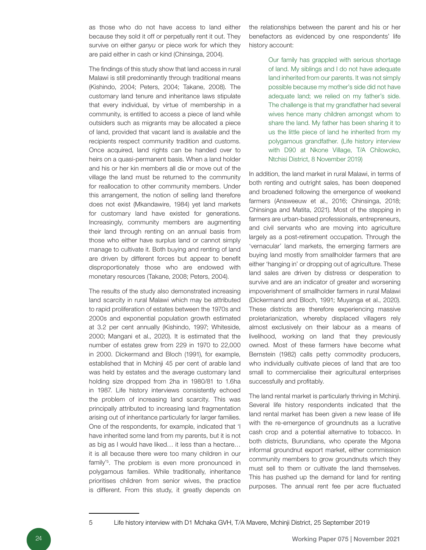as those who do not have access to land either because they sold it off or perpetually rent it out. They survive on either *ganyu* or piece work for which they are paid either in cash or kind (Chinsinga, 2004).

The findings of this study show that land access in rural Malawi is still predominantly through traditional means (Kishindo, 2004; Peters, 2004; Takane, 2008). The customary land tenure and inheritance laws stipulate that every individual, by virtue of membership in a community, is entitled to access a piece of land while outsiders such as migrants may be allocated a piece of land, provided that vacant land is available and the recipients respect community tradition and customs. Once acquired, land rights can be handed over to heirs on a quasi-permanent basis. When a land holder and his or her kin members all die or move out of the village the land must be returned to the community for reallocation to other community members. Under this arrangement, the notion of selling land therefore does not exist (Mkandawire, 1984) yet land markets for customary land have existed for generations. Increasingly, community members are augmenting their land through renting on an annual basis from those who either have surplus land or cannot simply manage to cultivate it. Both buying and renting of land are driven by different forces but appear to benefit disproportionately those who are endowed with monetary resources (Takane, 2008; Peters, 2004).

The results of the study also demonstrated increasing land scarcity in rural Malawi which may be attributed to rapid proliferation of estates between the 1970s and 2000s and exponential population growth estimated at 3.2 per cent annually (Kishindo, 1997; Whiteside, 2000; Mangani et al., 2020). It is estimated that the number of estates grew from 229 in 1970 to 22,000 in 2000. Dickermand and Bloch (1991), for example, established that in Mchinji 45 per cent of arable land was held by estates and the average customary land holding size dropped from 2ha in 1980/81 to 1.6ha in 1987. Life history interviews consistently echoed the problem of increasing land scarcity. This was principally attributed to increasing land fragmentation arising out of inheritance particularly for larger families. One of the respondents, for example, indicated that 'I have inherited some land from my parents, but it is not as big as I would have liked… it less than a hectare… it is all because there were too many children in our family'<sup>5</sup>. The problem is even more pronounced in polygamous families. While traditionally, inheritance prioritises children from senior wives, the practice is different. From this study, it greatly depends on

the relationships between the parent and his or her benefactors as evidenced by one respondents' life history account:

> Our family has grappled with serious shortage of land. My siblings and I do not have adequate land inherited from our parents. It was not simply possible because my mother's side did not have adequate land; we relied on my father's side. The challenge is that my grandfather had several wives hence many children amongst whom to share the land. My father has been sharing it to us the little piece of land he inherited from my polygamous grandfather. (Life history interview with D90 at Nkone Village, T/A Chilowoko, Ntchisi District, 8 November 2019)

In addition, the land market in rural Malawi, in terms of both renting and outright sales, has been deepened and broadened following the emergence of weekend farmers (Answeeuw et al., 2016; Chinsinga, 2018; Chinsinga and Matita, 2021). Most of the stepping in farmers are urban-based professionals, entrepreneurs, and civil servants who are moving into agriculture largely as a post-retirement occupation. Through the 'vernacular' land markets, the emerging farmers are buying land mostly from smallholder farmers that are either 'hanging in' or dropping out of agriculture. These land sales are driven by distress or desperation to survive and are an indicator of greater and worsening impoverishment of smallholder farmers in rural Malawi (Dickermand and Bloch, 1991; Muyanga et al., 2020). These districts are therefore experiencing massive proletarianization, whereby displaced villagers rely almost exclusively on their labour as a means of livelihood, working on land that they previously owned. Most of these farmers have become what Bernstein (1982) calls petty commodity producers, who individually cultivate pieces of land that are too small to commercialise their agricultural enterprises successfully and profitably.

The land rental market is particularly thriving in Mchinji. Several life history respondents indicated that the land rental market has been given a new lease of life with the re-emergence of groundnuts as a lucrative cash crop and a potential alternative to tobacco. In both districts, Burundians, who operate the Mgona informal groundnut export market, either commission community members to grow groundnuts which they must sell to them or cultivate the land themselves. This has pushed up the demand for land for renting purposes. The annual rent fee per acre fluctuated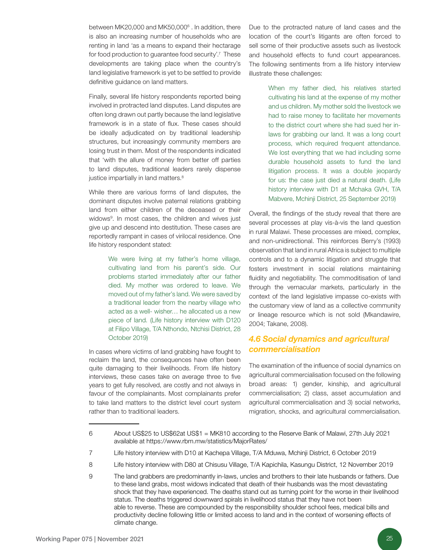between MK20,000 and MK50,000<sup>6</sup>. In addition, there is also an increasing number of households who are renting in land 'as a means to expand their hectarage for food production to guarantee food security'.7 These developments are taking place when the country's land legislative framework is yet to be settled to provide definitive guidance on land matters.

Finally, several life history respondents reported being involved in protracted land disputes. Land disputes are often long drawn out partly because the land legislative framework is in a state of flux. These cases should be ideally adjudicated on by traditional leadership structures, but increasingly community members are losing trust in them. Most of the respondents indicated that 'with the allure of money from better off parties to land disputes, traditional leaders rarely dispense justice impartially in land matters.<sup>8</sup>

While there are various forms of land disputes, the dominant disputes involve paternal relations grabbing land from either children of the deceased or their widows<sup>9</sup>. In most cases, the children and wives just give up and descend into destitution. These cases are reportedly rampant in cases of virilocal residence. One life history respondent stated:

> We were living at my father's home village, cultivating land from his parent's side. Our problems started immediately after our father died. My mother was ordered to leave. We moved out of my father's land. We were saved by a traditional leader from the nearby village who acted as a well- wisher… he allocated us a new piece of land. (Life history interview with D120 at Filipo Village, T/A Nthondo, Ntchisi District, 28 October 2019)

In cases where victims of land grabbing have fought to reclaim the land, the consequences have often been quite damaging to their livelihoods. From life history interviews, these cases take on average three to five years to get fully resolved, are costly and not always in favour of the complainants. Most complainants prefer to take land matters to the district level court system rather than to traditional leaders.

Due to the protracted nature of land cases and the location of the court's litigants are often forced to sell some of their productive assets such as livestock and household effects to fund court appearances. The following sentiments from a life history interview illustrate these challenges:

> When my father died, his relatives started cultivating his land at the expense of my mother and us children. My mother sold the livestock we had to raise money to facilitate her movements to the district court where she had sued her inlaws for grabbing our land. It was a long court process, which required frequent attendance. We lost everything that we had including some durable household assets to fund the land litigation process. It was a double jeopardy for us: the case just died a natural death. (Life history interview with D1 at Mchaka GVH, T/A Mabvere, Mchinji District, 25 September 2019)

Overall, the findings of the study reveal that there are several processes at play vis-à-vis the land question in rural Malawi. These processes are mixed, complex, and non-unidirectional. This reinforces Berry's (1993) observation that land in rural Africa is subject to multiple controls and to a dynamic litigation and struggle that fosters investment in social relations maintaining fluidity and negotiability. The commoditisation of land through the vernacular markets, particularly in the context of the land legislative impasse co-exists with the customary view of land as a collective community or lineage resource which is not sold (Mkandawire, 2004; Takane, 2008).

### *4.6 Social dynamics and agricultural commercialisation*

The examination of the influence of social dynamics on agricultural commercialisation focused on the following broad areas: 1) gender, kinship, and agricultural commercialisation; 2) class, asset accumulation and agricultural commercialisation and 3) social networks, migration, shocks, and agricultural commercialisation.

<sup>6</sup> About US\$25 to US\$62at US\$1 = MK810 according to the Reserve Bank of Malawi, 27th July 2021 available at https://www.rbm.mw/statistics/MajorRates/

<sup>7</sup> Life history interview with D10 at Kachepa Village, T/A Mduwa, Mchinji District, 6 October 2019

<sup>8</sup> Life history interview with D80 at Chisusu Village, T/A Kapichila, Kasungu District, 12 November 2019

<sup>9</sup> The land grabbers are predominantly in-laws, uncles and brothers to their late husbands or fathers. Due to these land grabs, most widows indicated that death of their husbands was the most devastating shock that they have experienced. The deaths stand out as turning point for the worse in their livelihood status. The deaths triggered downward spirals in livelihood status that they have not been able to reverse. These are compounded by the responsibility shoulder school fees, medical bills and productivity decline following little or limited access to land and in the context of worsening effects of climate change.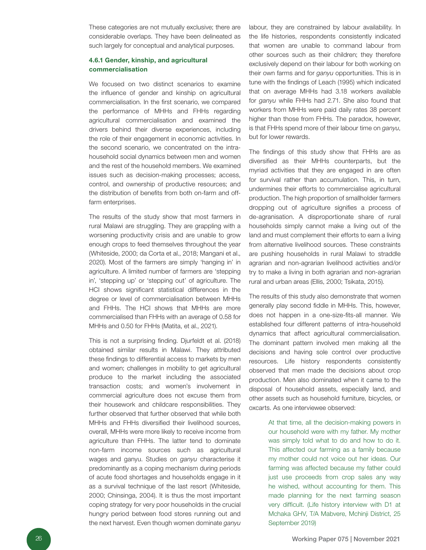These categories are not mutually exclusive; there are considerable overlaps. They have been delineated as such largely for conceptual and analytical purposes.

#### 4.6.1 Gender, kinship, and agricultural commercialisation

We focused on two distinct scenarios to examine the influence of gender and kinship on agricultural commercialisation. In the first scenario, we compared the performance of MHHs and FHHs regarding agricultural commercialisation and examined the drivers behind their diverse experiences, including the role of their engagement in economic activities. In the second scenario, we concentrated on the intrahousehold social dynamics between men and women and the rest of the household members. We examined issues such as decision-making processes; access, control, and ownership of productive resources; and the distribution of benefits from both on-farm and offfarm enterprises.

The results of the study show that most farmers in rural Malawi are struggling. They are grappling with a worsening productivity crisis and are unable to grow enough crops to feed themselves throughout the year (Whiteside, 2000; da Corta et al., 2018; Mangani et al., 2020). Most of the farmers are simply 'hanging in' in agriculture. A limited number of farmers are 'stepping in', 'stepping up' or 'stepping out' of agriculture. The HCI shows significant statistical differences in the degree or level of commercialisation between MHHs and FHHs. The HCI shows that MHHs are more commercialised than FHHs with an average of 0.58 for MHHs and 0.50 for FHHs (Matita, et al., 2021).

This is not a surprising finding. Djurfeldt et al. (2018) obtained similar results in Malawi. They attributed these findings to differential access to markets by men and women; challenges in mobility to get agricultural produce to the market including the associated transaction costs; and women's involvement in commercial agriculture does not excuse them from their housework and childcare responsibilities. They further observed that further observed that while both MHHs and FHHs diversified their livelihood sources, overall, MHHs were more likely to receive income from agriculture than FHHs. The latter tend to dominate non-farm income sources such as agricultural wages and ganyu. Studies on *ganyu* characterise it predominantly as a coping mechanism during periods of acute food shortages and households engage in it as a survival technique of the last resort (Whiteside, 2000; Chinsinga, 2004). It is thus the most important coping strategy for very poor households in the crucial hungry period between food stores running out and the next harvest. Even though women dominate *ganyu*

labour, they are constrained by labour availability. In the life histories, respondents consistently indicated that women are unable to command labour from other sources such as their children; they therefore exclusively depend on their labour for both working on their own farms and for *ganyu* opportunities. This is in tune with the findings of Leach (1995) which indicated that on average MHHs had 3.18 workers available for *ganyu* while FHHs had 2.71. She also found that workers from MHHs were paid daily rates 38 percent higher than those from FHHs. The paradox, however, is that FHHs spend more of their labour time on *ganyu*, but for lower rewards.

The findings of this study show that FHHs are as diversified as their MHHs counterparts, but the myriad activities that they are engaged in are often for survival rather than accumulation. This, in turn, undermines their efforts to commercialise agricultural production. The high proportion of smallholder farmers dropping out of agriculture signifies a process of de-agranisation. A disproportionate share of rural households simply cannot make a living out of the land and must complement their efforts to earn a living from alternative livelihood sources. These constraints are pushing households in rural Malawi to straddle agrarian and non-agrarian livelihood activities and/or try to make a living in both agrarian and non-agrarian rural and urban areas (Ellis, 2000; Tsikata, 2015).

The results of this study also demonstrate that women generally play second fiddle in MHHs. This, however, does not happen in a one-size-fits-all manner. We established four different patterns of intra-household dynamics that affect agricultural commercialisation. The dominant pattern involved men making all the decisions and having sole control over productive resources. Life history respondents consistently observed that men made the decisions about crop production. Men also dominated when it came to the disposal of household assets, especially land, and other assets such as household furniture, bicycles, or oxcarts. As one interviewee observed:

> At that time, all the decision-making powers in our household were with my father. My mother was simply told what to do and how to do it. This affected our farming as a family because my mother could not voice out her ideas. Our farming was affected because my father could just use proceeds from crop sales any way he wished, without accounting for them. This made planning for the next farming season very difficult. (Life history interview with D1 at Mchaka GHV, T/A Mabvere, Mchinji District, 25 September 2019)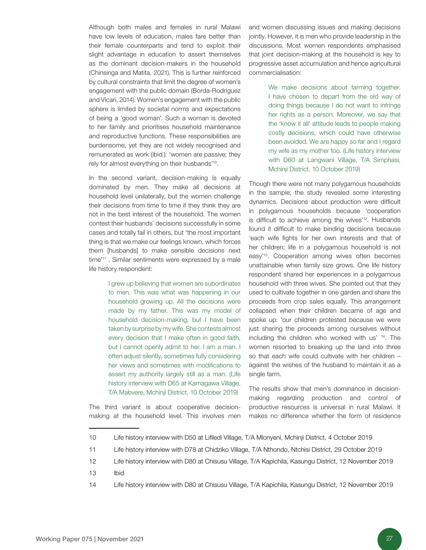Although both males and females in rural Malawi have low levels of education, males fare better than their female counterparts and tend to exploit their slight advantage in education to assert themselves as the dominant decision-makers in the household (Chinsinga and Matita, 2021). This is further reinforced by cultural constraints that limit the degree of women's engagement with the public domain (Borda-Rodriguez and Vicari, 2014). Women's engagement with the public sphere is limited by societal norms and expectations of being a 'good woman'. Such a woman is devoted to her family and prioritises household maintenance and reproductive functions. These responsibilities are burdensome, yet they are not widely recognised and remunerated as work (ibid.): 'women are passive; they rely for almost everything on their husbands'10.

In the second variant, decision-making is equally dominated by men. They make all decisions at household level unilaterally, but the women challenge their decisions from time to time if they think they are not in the best interest of the household. The women contest their husbands' decisions successfully in some cases and totally fail in others, but 'the most important thing is that we make our feelings known, which forces them [husbands] to make sensible decisions next time<sup>'11</sup> . Similar sentiments were expressed by a male life history respondent:

> I grew up believing that women are subordinates to men. This was what was happening in our household growing up. All the decisions were made by my father. This was my model of household decision-making, but I have been taken by surprise by my wife. She contests almost every decision that I make often in good faith, but I cannot openly admit to her. I am a man. I often adjust silently, sometimes fully considering her views and sometimes with modifications to assert my authority largely still as a man. (Life history interview with D65 at Kamagawa Village, T/A Mabvere, Mchinji District, 10 October 2019)

The third variant is about cooperative decisionmaking at the household level. This involves men and women discussing issues and making decisions jointly. However, it is men who provide leadership in the discussions. Most women respondents emphasised that joint decision-making at the household is key to progressive asset accumulation and hence agricultural commercialisation:

> We make decisions about farming together. I have chosen to depart from the old way of doing things because I do not want to infringe her rights as a person. Moreover, we say that the 'know it all' attitude leads to people making costly decisions, which could have otherwise been avoided. We are happy so far and I regard my wife as my mother too. (Life history interview with D60 at Langwani Village, T/A Simphasi, Mchinji District, 10 October 2019)

Though there were not many polygamous households in the sample; the study revealed some interesting dynamics. Decisions about production were difficult in polygamous households because 'cooperation is difficult to achieve among the wives'12. Husbands found it difficult to make binding decisions because 'each wife fights for her own interests and that of her children; life in a polygamous household is not easy'13. Cooperation among wives often becomes unattainable when family size grows. One life history respondent shared her experiences in a polygamous household with three wives. She pointed out that they used to cultivate together in one garden and share the proceeds from crop sales equally. This arrangement collapsed when their children became of age and spoke up: 'our children protested because we were just sharing the proceeds among ourselves without including the children who worked with us' 14. The women resorted to breaking up the land into three so that each wife could cultivate with her children – against the wishes of the husband to maintain it as a single farm.

The results show that men's dominance in decisionmaking regarding production and control of productive resources is universal in rural Malawi. It makes no difference whether the form of residence

<sup>10</sup> Life history interview with D50 at Lifiledi Village, T/A Mlonyeni, Mchinji District, 4 October 2019

<sup>11</sup> Life history interview with D78 at Chidziko Village, T/A Nthondo, Ntchisi District, 29 October 2019

<sup>12</sup> Life history interview with D80 at Chisusu Village, T/A Kapichila, Kasungu District, 12 November 2019

<sup>13</sup> Ibid

<sup>14</sup> Life history interview with D80 at Chisusu Village, T/A Kapichila, Kasungu District, 12 November 2019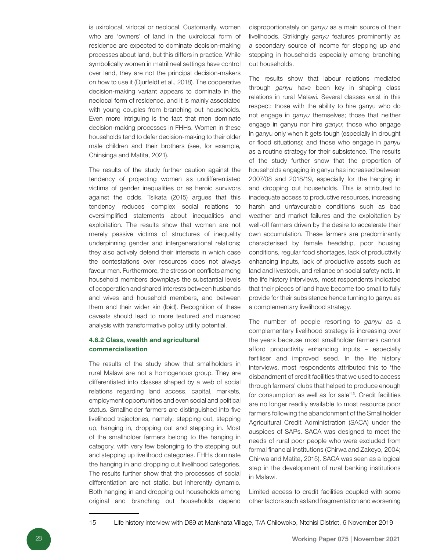is uxirolocal, virlocal or neolocal. Customarily, women who are 'owners' of land in the uxirolocal form of residence are expected to dominate decision-making processes about land, but this differs in practice. While symbolically women in matrilineal settings have control over land, they are not the principal decision-makers on how to use it (Djurfeldt et al., 2018). The cooperative decision-making variant appears to dominate in the neolocal form of residence, and it is mainly associated with young couples from branching out households. Even more intriguing is the fact that men dominate decision-making processes in FHHs. Women in these households tend to defer decision-making to their older male children and their brothers (see, for example, Chinsinga and Matita, 2021).

The results of the study further caution against the tendency of projecting women as undifferentiated victims of gender inequalities or as heroic survivors against the odds. Tsikata (2015) argues that this tendency reduces complex social relations to oversimplified statements about inequalities and exploitation. The results show that women are not merely passive victims of structures of inequality underpinning gender and intergenerational relations; they also actively defend their interests in which case the contestations over resources does not always favour men. Furthermore, the stress on conflicts among household members downplays the substantial levels of cooperation and shared interests between husbands and wives and household members, and between them and their wider kin (Ibid). Recognition of these caveats should lead to more textured and nuanced analysis with transformative policy utility potential.

#### 4.6.2 Class, wealth and agricultural commercialisation

The results of the study show that smallholders in rural Malawi are not a homogenous group. They are differentiated into classes shaped by a web of social relations regarding land access, capital, markets, employment opportunities and even social and political status. Smallholder farmers are distinguished into five livelihood trajectories, namely: stepping out, stepping up, hanging in, dropping out and stepping in. Most of the smallholder farmers belong to the hanging in category, with very few belonging to the stepping out and stepping up livelihood categories. FHHs dominate the hanging in and dropping out livelihood categories. The results further show that the processes of social differentiation are not static, but inherently dynamic. Both hanging in and dropping out households among original and branching out households depend

disproportionately on *ganyu* as a main source of their livelihoods. Strikingly *ganyu* features prominently as a secondary source of income for stepping up and stepping in households especially among branching out households.

The results show that labour relations mediated through *ganyu* have been key in shaping class relations in rural Malawi. Several classes exist in this respect: those with the ability to hire ganyu who do not engage in *ganyu* themselves; those that neither engage in ganyu nor hire *ganyu*; those who engage in ganyu only when it gets tough (especially in drought or flood situations); and those who engage in *ganyu*  as a routine strategy for their subsistence. The results of the study further show that the proportion of households engaging in ganyu has increased between 2007/08 and 2018/19, especially for the hanging in and dropping out households. This is attributed to inadequate access to productive resources, increasing harsh and unfavourable conditions such as bad weather and market failures and the exploitation by well-off farmers driven by the desire to accelerate their own accumulation. These farmers are predominantly characterised by female headship, poor housing conditions, regular food shortages, lack of productivity enhancing inputs, lack of productive assets such as land and livestock, and reliance on social safety nets. In the life history interviews, most respondents indicated that their pieces of land have become too small to fully provide for their subsistence hence turning to ganyu as a complementary livelihood strategy.

The number of people resorting to *ganyu* as a complementary livelihood strategy is increasing over the years because most smallholder farmers cannot afford productivity enhancing inputs – especially fertiliser and improved seed. In the life history interviews, most respondents attributed this to 'the disbandment of credit facilities that we used to access through farmers' clubs that helped to produce enough for consumption as well as for sale'15. Credit facilities are no longer readily available to most resource poor farmers following the abandonment of the Smallholder Agricultural Credit Administration (SACA) under the auspices of SAPs. SACA was designed to meet the needs of rural poor people who were excluded from formal financial institutions (Chirwa and Zakeyo, 2004; Chirwa and Matita, 2015). SACA was seen as a logical step in the development of rural banking institutions in Malawi.

Limited access to credit facilities coupled with some other factors such as land fragmentation and worsening

15 Life history interview with D89 at Mankhata Village, T/A Chilowoko, Ntchisi District, 6 November 2019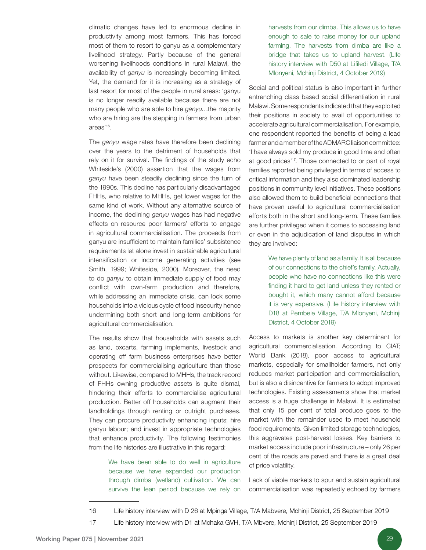climatic changes have led to enormous decline in productivity among most farmers. This has forced most of them to resort to ganyu as a complementary livelihood strategy. Partly because of the general worsening livelihoods conditions in rural Malawi, the availability of *ganyu* is increasingly becoming limited. Yet, the demand for it is increasing as a strategy of last resort for most of the people in rural areas: 'ganyu is no longer readily available because there are not many people who are able to hire *ganyu*…the majority who are hiring are the stepping in farmers from urban areas'16.

The *ganyu* wage rates have therefore been declining over the years to the detriment of households that rely on it for survival. The findings of the study echo Whiteside's (2000) assertion that the wages from *ganyu* have been steadily declining since the turn of the 1990s. This decline has particularly disadvantaged FHHs, who relative to MHHs, get lower wages for the same kind of work. Without any alternative source of income, the declining *ganyu* wages has had negative effects on resource poor farmers' efforts to engage in agricultural commercialisation. The proceeds from ganyu are insufficient to maintain families' subsistence requirements let alone invest in sustainable agricultural intensification or income generating activities (see Smith, 1999; Whiteside, 2000). Moreover, the need to do *ganyu* to obtain immediate supply of food may conflict with own-farm production and therefore, while addressing an immediate crisis, can lock some households into a vicious cycle of food insecurity hence undermining both short and long-term ambitions for agricultural commercialisation.

The results show that households with assets such as land, oxcarts, farming implements, livestock and operating off farm business enterprises have better prospects for commercialising agriculture than those without. Likewise, compared to MHHs, the track record of FHHs owning productive assets is quite dismal, hindering their efforts to commercialise agricultural production. Better off households can augment their landholdings through renting or outright purchases. They can procure productivity enhancing inputs; hire ganyu labour; and invest in appropriate technologies that enhance productivity. The following testimonies from the life histories are illustrative in this regard:

> We have been able to do well in agriculture because we have expanded our production through dimba (wetland) cultivation. We can survive the lean period because we rely on

harvests from our dimba. This allows us to have enough to sale to raise money for our upland farming. The harvests from dimba are like a bridge that takes us to upland harvest. (Life history interview with D50 at Lifiledi Village, T/A Mlonyeni, Mchinji District, 4 October 2019)

Social and political status is also important in further entrenching class based social differentiation in rural Malawi. Some respondents indicated that they exploited their positions in society to avail of opportunities to accelerate agricultural commercialisation. For example, one respondent reported the benefits of being a lead farmer and a member of the ADMARC liaison committee: 'I have always sold my produce in good time and often at good prices'17. Those connected to or part of royal families reported being privileged in terms of access to critical information and they also dominated leadership positions in community level initiatives. These positions also allowed them to build beneficial connections that have proven useful to agricultural commercialisation efforts both in the short and long-term. These families are further privileged when it comes to accessing land or even in the adjudication of land disputes in which they are involved:

> We have plenty of land as a family. It is all because of our connections to the chief's family. Actually, people who have no connections like this were finding it hard to get land unless they rented or bought it, which many cannot afford because it is very expensive. (Life history interview with D18 at Pembele Village, T/A Mlonyeni, Mchinji District, 4 October 2019)

Access to markets is another key determinant for agricultural commercialisation. According to CIAT; World Bank (2018), poor access to agricultural markets, especially for smallholder farmers, not only reduces market participation and commercialisation, but is also a disincentive for farmers to adopt improved technologies. Existing assessments show that market access is a huge challenge in Malawi. It is estimated that only 15 per cent of total produce goes to the market with the remainder used to meet household food requirements. Given limited storage technologies, this aggravates post-harvest losses. Key barriers to market access include poor infrastructure – only 26 per cent of the roads are paved and there is a great deal of price volatility.

Lack of viable markets to spur and sustain agricultural commercialisation was repeatedly echoed by farmers

<sup>16</sup> Life history interview with D 26 at Mpinga Village, T/A Mabvere, Mchinji District, 25 September 2019

<sup>17</sup> Life history interview with D1 at Mchaka GVH, T/A Mbvere, Mchinji District, 25 September 2019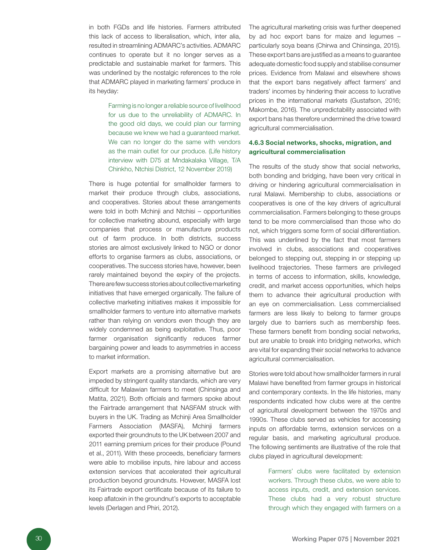in both FGDs and life histories. Farmers attributed this lack of access to liberalisation, which, inter alia, resulted in streamlining ADMARC's activities. ADMARC continues to operate but it no longer serves as a predictable and sustainable market for farmers. This was underlined by the nostalgic references to the role that ADMARC played in marketing farmers' produce in its heyday:

> Farming is no longer a reliable source of livelihood for us due to the unreliability of ADMARC. In the good old days, we could plan our farming because we knew we had a guaranteed market. We can no longer do the same with vendors as the main outlet for our produce. (Life history interview with D75 at Mndakalaka Village, T/A Chinkho, Ntchisi District, 12 November 2019)

There is huge potential for smallholder farmers to market their produce through clubs, associations, and cooperatives. Stories about these arrangements were told in both Mchinji and Ntchisi – opportunities for collective marketing abound, especially with large companies that process or manufacture products out of farm produce. In both districts, success stories are almost exclusively linked to NGO or donor efforts to organise farmers as clubs, associations, or cooperatives. The success stories have, however, been rarely maintained beyond the expiry of the projects. There are few success stories about collective marketing initiatives that have emerged organically. The failure of collective marketing initiatives makes it impossible for smallholder farmers to venture into alternative markets rather than relying on vendors even though they are widely condemned as being exploitative. Thus, poor farmer organisation significantly reduces farmer bargaining power and leads to asymmetries in access to market information.

Export markets are a promising alternative but are impeded by stringent quality standards, which are very difficult for Malawian farmers to meet (Chinsinga and Matita, 2021). Both officials and farmers spoke about the Fairtrade arrangement that NASFAM struck with buyers in the UK. Trading as Mchinji Area Smallholder Farmers Association (MASFA), Mchinji farmers exported their groundnuts to the UK between 2007 and 2011 earning premium prices for their produce (Pound et al., 2011). With these proceeds, beneficiary farmers were able to mobilise inputs, hire labour and access extension services that accelerated their agricultural production beyond groundnuts. However, MASFA lost its Fairtrade export certificate because of its failure to keep aflatoxin in the groundnut's exports to acceptable levels (Derlagen and Phiri, 2012).

The agricultural marketing crisis was further deepened by ad hoc export bans for maize and legumes – particularly soya beans (Chirwa and Chinsinga, 2015). These export bans are justified as a means to guarantee adequate domestic food supply and stabilise consumer prices. Evidence from Malawi and elsewhere shows that the export bans negatively affect farmers' and traders' incomes by hindering their access to lucrative prices in the international markets (Gustafson, 2016; Makombe, 2016). The unpredictability associated with export bans has therefore undermined the drive toward agricultural commercialisation.

#### 4.6.3 Social networks, shocks, migration, and agricultural commercialisation

The results of the study show that social networks, both bonding and bridging, have been very critical in driving or hindering agricultural commercialisation in rural Malawi. Membership to clubs, associations or cooperatives is one of the key drivers of agricultural commercialisation. Farmers belonging to these groups tend to be more commercialised than those who do not, which triggers some form of social differentiation. This was underlined by the fact that most farmers involved in clubs, associations and cooperatives belonged to stepping out, stepping in or stepping up livelihood trajectories. These farmers are privileged in terms of access to information, skills, knowledge, credit, and market access opportunities, which helps them to advance their agricultural production with an eye on commercialisation. Less commercialised farmers are less likely to belong to farmer groups largely due to barriers such as membership fees. These farmers benefit from bonding social networks, but are unable to break into bridging networks, which are vital for expanding their social networks to advance agricultural commercialisation.

Stories were told about how smallholder farmers in rural Malawi have benefited from farmer groups in historical and contemporary contexts. In the life histories, many respondents indicated how clubs were at the centre of agricultural development between the 1970s and 1990s. These clubs served as vehicles for accessing inputs on affordable terms, extension services on a regular basis, and marketing agricultural produce. The following sentiments are illustrative of the role that clubs played in agricultural development:

> Farmers' clubs were facilitated by extension workers. Through these clubs, we were able to access inputs, credit, and extension services. These clubs had a very robust structure through which they engaged with farmers on a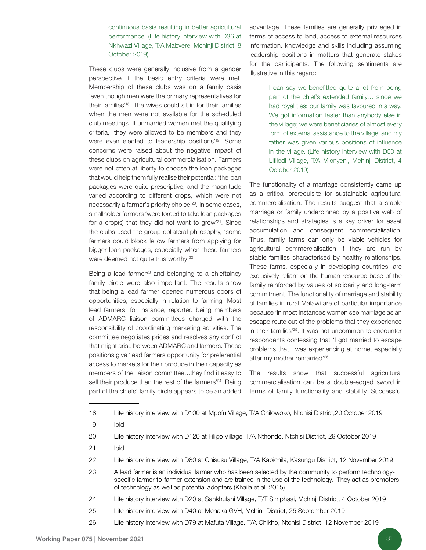continuous basis resulting in better agricultural performance. (Life history interview with D36 at Nkhwazi Village, T/A Mabvere, Mchinji District, 8 October 2019)

These clubs were generally inclusive from a gender perspective if the basic entry criteria were met. Membership of these clubs was on a family basis 'even though men were the primary representatives for their families'18. The wives could sit in for their families when the men were not available for the scheduled club meetings. If unmarried women met the qualifying criteria, 'they were allowed to be members and they were even elected to leadership positions'19. Some concerns were raised about the negative impact of these clubs on agricultural commercialisation. Farmers were not often at liberty to choose the loan packages that would help them fully realise their potential: 'the loan packages were quite prescriptive, and the magnitude varied according to different crops, which were not necessarily a farmer's priority choice'20. In some cases, smallholder farmers 'were forced to take loan packages for a crop(s) that they did not want to grow'21. Since the clubs used the group collateral philosophy, 'some farmers could block fellow farmers from applying for bigger loan packages, especially when these farmers were deemed not quite trustworthy'<sup>22</sup>.

Being a lead farmer $23$  and belonging to a chieftaincy family circle were also important. The results show that being a lead farmer opened numerous doors of opportunities, especially in relation to farming. Most lead farmers, for instance, reported being members of ADMARC liaison committees charged with the responsibility of coordinating marketing activities. The committee negotiates prices and resolves any conflict that might arise between ADMARC and farmers. These positions give 'lead farmers opportunity for preferential access to markets for their produce in their capacity as members of the liaison committee…they find it easy to sell their produce than the rest of the farmers'<sup>24</sup>. Being part of the chiefs' family circle appears to be an added advantage. These families are generally privileged in terms of access to land, access to external resources information, knowledge and skills including assuming leadership positions in matters that generate stakes for the participants. The following sentiments are illustrative in this regard:

> I can say we benefitted quite a lot from being part of the chief's extended family… since we had royal ties; our family was favoured in a way. We got information faster than anybody else in the village; we were beneficiaries of almost every form of external assistance to the village; and my father was given various positions of influence in the village. (Life history interview with D50 at Lifiledi Village, T/A Mlonyeni, Mchinji District, 4 October 2019)

The functionality of a marriage consistently came up as a critical prerequisite for sustainable agricultural commercialisation. The results suggest that a stable marriage or family underpinned by a positive web of relationships and strategies is a key driver for asset accumulation and consequent commercialisation. Thus, family farms can only be viable vehicles for agricultural commercialisation if they are run by stable families characterised by healthy relationships. These farms, especially in developing countries, are exclusively reliant on the human resource base of the family reinforced by values of solidarity and long-term commitment. The functionality of marriage and stability of families in rural Malawi are of particular importance because 'in most instances women see marriage as an escape route out of the problems that they experience in their families'<sup>25</sup>. It was not uncommon to encounter respondents confessing that 'I got married to escape problems that I was experiencing at home, especially after my mother remarried'<sup>26</sup>.

The results show that successful agricultural commercialisation can be a double-edged sword in terms of family functionality and stability. Successful

- 22 Life history interview with D80 at Chisusu Village, T/A Kapichila, Kasungu District, 12 November 2019
- 23 A lead farmer is an individual farmer who has been selected by the community to perform technologyspecific farmer-to-farmer extension and are trained in the use of the technology. They act as promoters of technology as well as potential adopters (Khaila et al. 2015).
- 24 Life history interview with D20 at Sankhulani Village, T/T Simphasi, Mchinji District, 4 October 2019
- 25 Life history interview with D40 at Mchaka GVH, Mchinji District, 25 September 2019
- 26 Life history interview with D79 at Mafuta Village, T/A Chikho, Ntchisi District, 12 November 2019

<sup>18</sup> Life history interview with D100 at Mpofu Village, T/A Chilowoko, Ntchisi District,20 October 2019

<sup>19</sup> Ibid

<sup>20</sup> Life history interview with D120 at Filipo Village, T/A Nthondo, Ntchisi District, 29 October 2019

<sup>21</sup> Ibid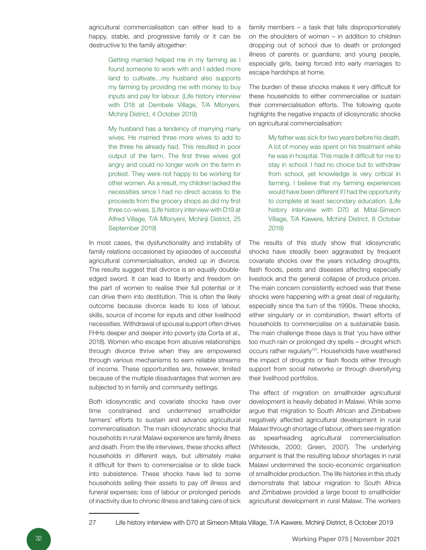agricultural commercialisation can either lead to a happy, stable, and progressive family or it can be destructive to the family altogether:

> Getting married helped me in my farming as I found someone to work with and I added more land to cultivate…my husband also supports my farming by providing me with money to buy inputs and pay for labour. (Life history interview with D18 at Dembele Village, T/A Mlonyeni, Mchinji District, 4 October 2019)

> My husband has a tendency of marrying many wives. He married three more wives to add to the three he already had. This resulted in poor output of the farm. The first three wives got angry and could no longer work on the farm in protest. They were not happy to be working for other women. As a result, my children lacked the necessities since I had no direct access to the proceeds from the grocery shops as did my first three co-wives. (Life history interview with D19 at Alfred Village, T/A Mlonyeni, Mchinji District, 25 September 2019)

In most cases, the dysfunctionality and instability of family relations occasioned by episodes of successful agricultural commercialisation, ended up in divorce. The results suggest that divorce is an equally doubleedged sword. It can lead to liberty and freedom on the part of women to realise their full potential or it can drive them into destitution. This is often the likely outcome because divorce leads to loss of labour, skills, source of income for inputs and other livelihood necessities. Withdrawal of spousal support often drives FHHs deeper and deeper into poverty (da Corta et al., 2018). Women who escape from abusive relationships through divorce thrive when they are empowered through various mechanisms to earn reliable streams of income. These opportunities are, however, limited because of the multiple disadvantages that women are subjected to in family and community settings.

Both idiosyncratic and covariate shocks have over time constrained and undermined smallholder farmers' efforts to sustain and advance agricultural commercialisation. The main idiosyncratic shocks that households in rural Malawi experience are family illness and death. From the life interviews, these shocks affect households in different ways, but ultimately make it difficult for them to commercialise or to slide back into subsistence. These shocks have led to some households selling their assets to pay off illness and funeral expenses; loss of labour or prolonged periods of inactivity due to chronic illness and taking care of sick

family members – a task that falls disproportionately on the shoulders of women – in addition to children dropping out of school due to death or prolonged illness of parents or guardians; and young people, especially girls, being forced into early marriages to escape hardships at home.

The burden of these shocks makes it very difficult for these households to either commercialise or sustain their commercialisation efforts. The following quote highlights the negative impacts of idiosyncratic shocks on agricultural commercialisation:

> My father was sick for two years before his death. A lot of money was spent on his treatment while he was in hospital. This made it difficult for me to stay in school. I had no choice but to withdraw from school, yet knowledge is very critical in farming. I believe that my farming experiences would have been different if I had the opportunity to complete at least secondary education. (Life history interview with D70 at Mital-Simeon Village, T/A Kawere, Mchinji District, 8 October 2019)

The results of this study show that idiosyncratic shocks have steadily been aggravated by frequent covariate shocks over the years including droughts, flash floods, pests and diseases affecting especially livestock and the general collapse of produce prices. The main concern consistently echoed was that these shocks were happening with a great deal of regularity, especially since the turn of the 1990s. These shocks, either singularly or in combination, thwart efforts of households to commercialise on a sustainable basis. The main challenge these days is that 'you have either too much rain or prolonged dry spells – drought which occurs rather regularly'27. Households have weathered the impact of droughts or flash floods either through support from social networks or through diversifying their livelihood portfolios.

The effect of migration on smallholder agricultural development is heavily debated in Malawi. While some argue that migration to South African and Zimbabwe negatively affected agricultural development in rural Malawi through shortage of labour, others see migration as spearheading agricultural commercialisation (Whiteside, 2000; Green, 2007). The underlying argument is that the resulting labour shortages in rural Malawi undermined the socio-economic organisation of smallholder production. The life histories in this study demonstrate that labour migration to South Africa and Zimbabwe provided a large boost to smallholder agricultural development in rural Malawi. The workers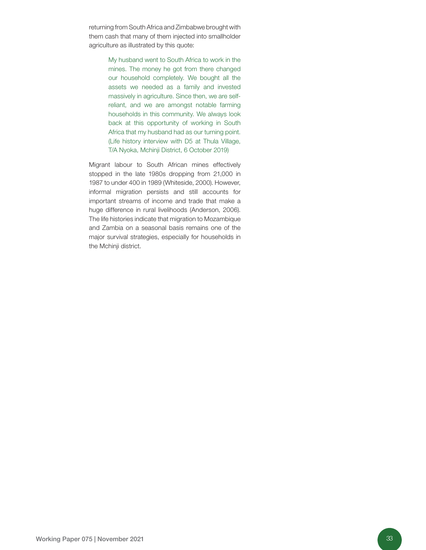returning from South Africa and Zimbabwe brought with them cash that many of them injected into smallholder agriculture as illustrated by this quote:

> My husband went to South Africa to work in the mines. The money he got from there changed our household completely. We bought all the assets we needed as a family and invested massively in agriculture. Since then, we are selfreliant, and we are amongst notable farming households in this community. We always look back at this opportunity of working in South Africa that my husband had as our turning point. (Life history interview with D5 at Thula Village, T/A Nyoka, Mchinji District, 6 October 2019)

Migrant labour to South African mines effectively stopped in the late 1980s dropping from 21,000 in 1987 to under 400 in 1989 (Whiteside, 2000). However, informal migration persists and still accounts for important streams of income and trade that make a huge difference in rural livelihoods (Anderson, 2006). The life histories indicate that migration to Mozambique and Zambia on a seasonal basis remains one of the major survival strategies, especially for households in the Mchinji district.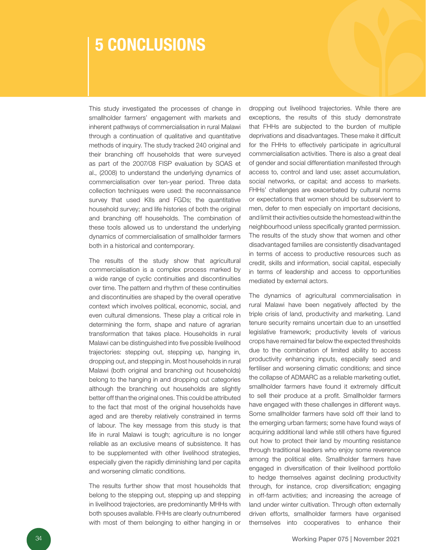## 5 CONCLUSIONS

This study investigated the processes of change in smallholder farmers' engagement with markets and inherent pathways of commercialisation in rural Malawi through a continuation of qualitative and quantitative methods of inquiry. The study tracked 240 original and their branching off households that were surveyed as part of the 2007/08 FISP evaluation by SOAS et al., (2008) to understand the underlying dynamics of commercialisation over ten-year period. Three data collection techniques were used: the reconnaissance survey that used KIIs and FGDs; the quantitative household survey; and life histories of both the original and branching off households. The combination of these tools allowed us to understand the underlying dynamics of commercialisation of smallholder farmers both in a historical and contemporary.

The results of the study show that agricultural commercialisation is a complex process marked by a wide range of cyclic continuities and discontinuities over time. The pattern and rhythm of these continuities and discontinuities are shaped by the overall operative context which involves political, economic, social, and even cultural dimensions. These play a critical role in determining the form, shape and nature of agrarian transformation that takes place. Households in rural Malawi can be distinguished into five possible livelihood trajectories: stepping out, stepping up, hanging in, dropping out, and stepping in. Most households in rural Malawi (both original and branching out households) belong to the hanging in and dropping out categories although the branching out households are slightly better off than the original ones. This could be attributed to the fact that most of the original households have aged and are thereby relatively constrained in terms of labour. The key message from this study is that life in rural Malawi is tough; agriculture is no longer reliable as an exclusive means of subsistence. It has to be supplemented with other livelihood strategies, especially given the rapidly diminishing land per capita and worsening climatic conditions.

The results further show that most households that belong to the stepping out, stepping up and stepping in livelihood trajectories, are predominantly MHHs with both spouses available. FHHs are clearly outnumbered with most of them belonging to either hanging in or

dropping out livelihood trajectories. While there are exceptions, the results of this study demonstrate that FHHs are subjected to the burden of multiple deprivations and disadvantages. These make it difficult for the FHHs to effectively participate in agricultural commercialisation activities. There is also a great deal of gender and social differentiation manifested through access to, control and land use; asset accumulation, social networks, or capital; and access to markets. FHHs' challenges are exacerbated by cultural norms or expectations that women should be subservient to men, defer to men especially on important decisions, and limit their activities outside the homestead within the neighbourhood unless specifically granted permission. The results of the study show that women and other disadvantaged families are consistently disadvantaged in terms of access to productive resources such as credit, skills and information, social capital, especially in terms of leadership and access to opportunities mediated by external actors.

The dynamics of agricultural commercialisation in rural Malawi have been negatively affected by the triple crisis of land, productivity and marketing. Land tenure security remains uncertain due to an unsettled legislative framework; productivity levels of various crops have remained far below the expected thresholds due to the combination of limited ability to access productivity enhancing inputs, especially seed and fertiliser and worsening climatic conditions; and since the collapse of ADMARC as a reliable marketing outlet, smallholder farmers have found it extremely difficult to sell their produce at a profit. Smallholder farmers have engaged with these challenges in different ways. Some smallholder farmers have sold off their land to the emerging urban farmers; some have found ways of acquiring additional land while still others have figured out how to protect their land by mounting resistance through traditional leaders who enjoy some reverence among the political elite. Smallholder farmers have engaged in diversification of their livelihood portfolio to hedge themselves against declining productivity through, for instance, crop diversification; engaging in off-farm activities; and increasing the acreage of land under winter cultivation. Through often externally driven efforts, smallholder farmers have organised themselves into cooperatives to enhance their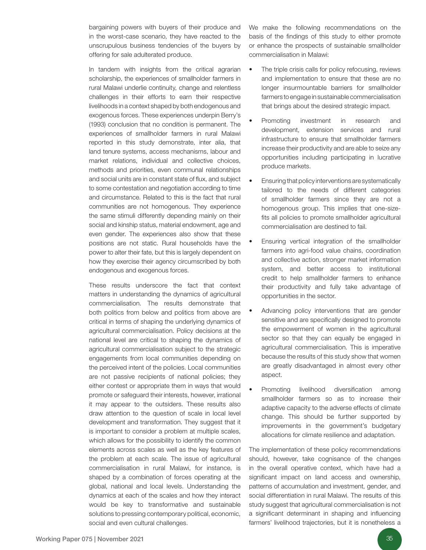bargaining powers with buyers of their produce and in the worst-case scenario, they have reacted to the unscrupulous business tendencies of the buyers by offering for sale adulterated produce.

In tandem with insights from the critical agrarian scholarship, the experiences of smallholder farmers in rural Malawi underlie continuity, change and relentless challenges in their efforts to earn their respective livelihoods in a context shaped by both endogenous and exogenous forces. These experiences underpin Berry's (1993) conclusion that no condition is permanent. The experiences of smallholder farmers in rural Malawi reported in this study demonstrate, inter alia, that land tenure systems, access mechanisms, labour and market relations, individual and collective choices, methods and priorities, even communal relationships and social units are in constant state of flux, and subject to some contestation and negotiation according to time and circumstance. Related to this is the fact that rural communities are not homogenous. They experience the same stimuli differently depending mainly on their social and kinship status, material endowment, age and even gender. The experiences also show that these positions are not static. Rural households have the power to alter their fate, but this is largely dependent on how they exercise their agency circumscribed by both endogenous and exogenous forces.

These results underscore the fact that context matters in understanding the dynamics of agricultural commercialisation. The results demonstrate that both politics from below and politics from above are critical in terms of shaping the underlying dynamics of agricultural commercialisation. Policy decisions at the national level are critical to shaping the dynamics of agricultural commercialisation subject to the strategic engagements from local communities depending on the perceived intent of the policies. Local communities are not passive recipients of national policies; they either contest or appropriate them in ways that would promote or safeguard their interests, however, irrational it may appear to the outsiders. These results also draw attention to the question of scale in local level development and transformation. They suggest that it is important to consider a problem at multiple scales, which allows for the possibility to identify the common elements across scales as well as the key features of the problem at each scale. The issue of agricultural commercialisation in rural Malawi, for instance, is shaped by a combination of forces operating at the global, national and local levels. Understanding the dynamics at each of the scales and how they interact would be key to transformative and sustainable solutions to pressing contemporary political, economic, social and even cultural challenges.

We make the following recommendations on the basis of the findings of this study to either promote or enhance the prospects of sustainable smallholder commercialisation in Malawi:

- The triple crisis calls for policy refocusing, reviews and implementation to ensure that these are no longer insurmountable barriers for smallholder farmers to engage in sustainable commercialisation that brings about the desired strategic impact.
- Promoting investment in research and development, extension services and rural infrastructure to ensure that smallholder farmers increase their productivity and are able to seize any opportunities including participating in lucrative produce markets.
- Ensuring that policy interventions are systematically tailored to the needs of different categories of smallholder farmers since they are not a homogenous group. This implies that one-sizefits all policies to promote smallholder agricultural commercialisation are destined to fail.
- Ensuring vertical integration of the smallholder farmers into agri-food value chains, coordination and collective action, stronger market information system, and better access to institutional credit to help smallholder farmers to enhance their productivity and fully take advantage of opportunities in the sector.
- Advancing policy interventions that are gender sensitive and are specifically designed to promote the empowerment of women in the agricultural sector so that they can equally be engaged in agricultural commercialisation. This is imperative because the results of this study show that women are greatly disadvantaged in almost every other aspect.
- Promoting livelihood diversification among smallholder farmers so as to increase their adaptive capacity to the adverse effects of climate change. This should be further supported by improvements in the government's budgetary allocations for climate resilience and adaptation.

The implementation of these policy recommendations should, however, take cognisance of the changes in the overall operative context, which have had a significant impact on land access and ownership, patterns of accumulation and investment, gender, and social differentiation in rural Malawi. The results of this study suggest that agricultural commercialisation is not a significant determinant in shaping and influencing farmers' livelihood trajectories, but it is nonetheless a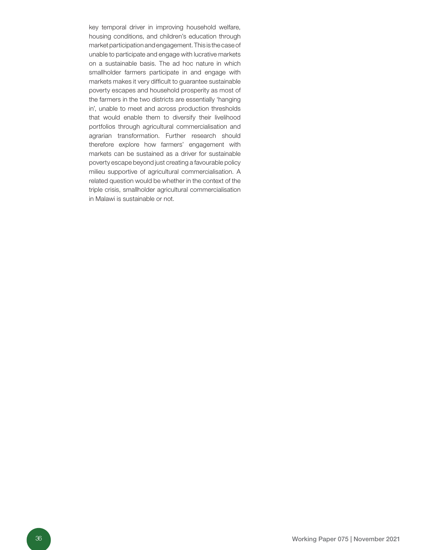key temporal driver in improving household welfare, housing conditions, and children's education through market participation and engagement. This is the case of unable to participate and engage with lucrative markets on a sustainable basis. The ad hoc nature in which smallholder farmers participate in and engage with markets makes it very difficult to guarantee sustainable poverty escapes and household prosperity as most of the farmers in the two districts are essentially 'hanging in', unable to meet and across production thresholds that would enable them to diversify their livelihood portfolios through agricultural commercialisation and agrarian transformation. Further research should therefore explore how farmers' engagement with markets can be sustained as a driver for sustainable poverty escape beyond just creating a favourable policy milieu supportive of agricultural commercialisation. A related question would be whether in the context of the triple crisis, smallholder agricultural commercialisation in Malawi is sustainable or not.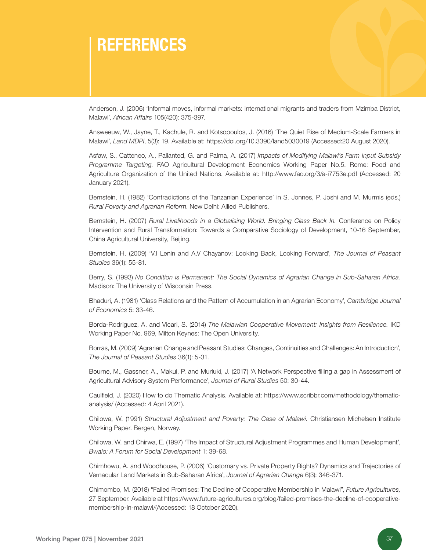# REFERENCES

Anderson, J. (2006) 'Informal moves, informal markets: International migrants and traders from Mzimba District, Malawi', *African Affairs* 105(420): 375-397.

Answeeuw, W., Jayne, T., Kachule, R. and Kotsopoulos, J. (2016) 'The Quiet Rise of Medium-Scale Farmers in Malawi', *Land MDPI*, 5(3): 19. Available a[t: https://doi.org/10.3390/land5030019 \(A](http://: https://doi.org/10.3390/land5030019)ccessed:20 August 2020).

Asfaw, S., Catteneo, A., Pallanted, G. and Palma, A. (2017) *Impacts of Modifying Malawi's Farm Input Subsidy Programme Targeting.* FAO Agricultural Development Economics Working Paper No.5. Rome: Food and Agriculture Organization of the United Nations. Available at[: http://www.fao.org/3/a-i7753e.pdf \(](http://www.fao.org/3/a-i7753e.pdf)Accessed: 20 January 2021).

Bernstein, H. (1982) 'Contradictions of the Tanzanian Experience' in S. Jonnes, P. Joshi and M. Murmis (eds.) *Rural Poverty and Agrarian Reform*. New Delhi: Allied Publishers.

Bernstein, H. (2007) *Rural Livelihoods in a Globalising World. Bringing Class Back In.* Conference on Policy Intervention and Rural Transformation: Towards a Comparative Sociology of Development, 10-16 September, China Agricultural University, Beijing.

Bernstein, H. (2009) 'V.I Lenin and A.V Chayanov: Looking Back, Looking Forward', *The Journal of Peasant Studies* 36(1): 55-81.

Berry, S. (1993) *No Condition is Permanent: The Social Dynamics of Agrarian Change in Sub-Saharan Africa.*  Madison: The University of Wisconsin Press.

Bhaduri, A. (1981) 'Class Relations and the Pattern of Accumulation in an Agrarian Economy', *Cambridge Journal of Economics* 5: 33-46.

Borda-Rodriguez, A. and Vicari, S. (2014) *The Malawian Cooperative Movement: Insights from Resilience.* IKD Working Paper No. 969, Milton Keynes: The Open University.

Borras, M. (2009) 'Agrarian Change and Peasant Studies: Changes, Continuities and Challenges: An Introduction', *The Journal of Peasant Studies* 36(1): 5-31.

Bourne, M., Gassner, A., Makui, P. and Muriuki, J. (2017) 'A Network Perspective filling a gap in Assessment of Agricultural Advisory System Performance', *Journal of Rural Studies* 50: 30-44.

Caulfield, J. (2020) How to do Thematic Analysis. Available at[: https://www.scribbr.com/methodology/thematic](https://www.scribbr.com/methodology/thematic-analysis/)[analysis/ \(A](https://www.scribbr.com/methodology/thematic-analysis/)ccessed: 4 April 2021).

Chilowa, W. (1991) *Structural Adjustment and Poverty: The Case of Malawi.* Christiansen Michelsen Institute Working Paper. Bergen, Norway.

Chilowa, W. and Chirwa, E. (1997) 'The Impact of Structural Adjustment Programmes and Human Development', *Bwalo: A Forum for Social Development* 1: 39-68.

Chimhowu, A. and Woodhouse, P. (2006) 'Customary vs. Private Property Rights? Dynamics and Trajectories of Vernacular Land Markets in Sub-Saharan Africa', *Journal of Agrarian Change* 6(3): 346-371.

Chimombo, M. (2018) "Failed Promises: The Decline of Cooperative Membership in Malawi", *Future Agricultures,* 27 September. Available [at https://www.future-agricultures.org/blog/failed-promises-the-decline-of-cooperative](https://www.future-agricultures.org/blog/failed-promises-the-decline-of-cooperative-membership-in-malawi/)[membership-in-malawi/\(A](https://www.future-agricultures.org/blog/failed-promises-the-decline-of-cooperative-membership-in-malawi/)ccessed: 18 October 2020).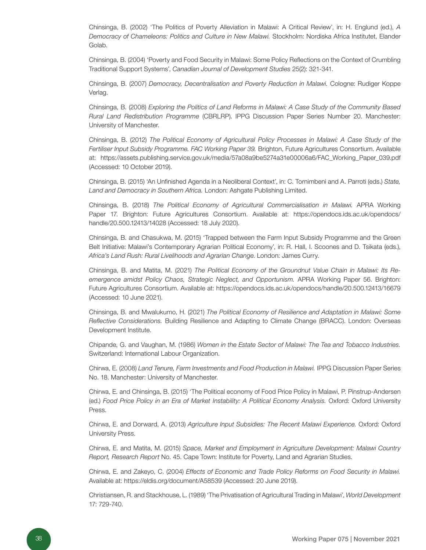Chinsinga, B. (2002) 'The Politics of Poverty Alleviation in Malawi: A Critical Review', in: H. Englund (ed.), *A Democracy of Chameleons: Politics and Culture in New Malawi.* Stockholm: Nordiska Africa Institutet, Elander Golab.

Chinsinga, B. (2004) 'Poverty and Food Security in Malawi: Some Policy Reflections on the Context of Crumbling Traditional Support Systems', *Canadian Journal of Development Studies* 25(2): 321-341.

Chinsinga, B. (2007) *Democracy, Decentralisation and Poverty Reduction in Malawi.* Cologne: Rudiger Koppe Verlag.

Chinsinga, B. (2008) *Exploring the Politics of Land Reforms in Malawi: A Case Study of the Community Based Rural Land Redistribution Programme* (CBRLRP). IPPG Discussion Paper Series Number 20. Manchester: University of Manchester.

Chinsinga, B. (2012) *The Political Economy of Agricultural Policy Processes in Malawi: A Case Study of the Fertiliser Input Subsidy Programme. FAC Working Paper 39.* Brighton, Future Agricultures Consortium. Available [at: https://assets.publishing.service.gov.uk/media/57a08a9be5274a31e00006a6/FAC\\_Working\\_Paper\\_039.pdf](https://assets.publishing.service.gov.uk/media/57a08a9be5274a31e00006a6/FAC_Working_Paper_039.pdf)  (Accessed: 10 October 2019).

Chinsinga, B. (2015) 'An Unfinished Agenda in a Neoliberal Context', in: C. Tornimbeni and A. Parroti (eds.) *State, Land and Democracy in Southern Africa.* London: Ashgate Publishing Limited.

Chinsinga, B. (2018) *The Political Economy of Agricultural Commercialisation in Malawi.* APRA Working Paper 17. Brighton: Future Agricultures Consortium. Available at[: https://opendocs.ids.ac.uk/opendocs/](https://opendocs.ids.ac.uk/opendocs/handle/20.500.12413/14028) [handle/20.500.12413/14028 \(](https://opendocs.ids.ac.uk/opendocs/handle/20.500.12413/14028)Accessed: 18 July 2020).

Chinsinga, B. and Chasukwa, M. (2015) 'Trapped between the Farm Input Subsidy Programme and the Green Belt Initiative: Malawi's Contemporary Agrarian Political Economy', in: R. Hall, I. Scoones and D. Tsikata (eds.), *Africa's Land Rush: Rural Livelihoods and Agrarian Change*. London: James Curry.

Chinsinga, B. and Matita, M. (2021) *The Political Economy of the Groundnut Value Chain in Malawi: Its Reemergence amidst Policy Chaos, Strategic Neglect, and Opportunism.* APRA Working Paper 56. Brighton: Future Agricultures Consortium. Available a[t: https://opendocs.ids.ac.uk/opendocs/handle/20.500.12413/16679](https://opendocs.ids.ac.uk/opendocs/handle/20.500.12413/16679)  (Accessed: 10 June 2021).

Chinsinga, B. and Mwalukumo, H. (2021) *The Political Economy of Resilience and Adaptation in Malawi: Some Reflective Considerations.* Building Resilience and Adapting to Climate Change (BRACC). London: Overseas Development Institute.

Chipande, G. and Vaughan, M. (1986) *Women in the Estate Sector of Malawi: The Tea and Tobacco Industries.*  Switzerland: International Labour Organization.

Chirwa, E. (2008) *Land Tenure, Farm Investments and Food Production in Malawi.* IPPG Discussion Paper Series No. 18. Manchester: University of Manchester.

Chirwa, E. and Chinsinga, B. (2015) 'The Political economy of Food Price Policy in Malawi, P. Pinstrup-Andersen (ed.) *Food Price Policy in an Era of Market Instability: A Political Economy Analysis.* Oxford: Oxford University Press.

Chirwa, E. and Dorward, A. (2013) *Agriculture Input Subsidies: The Recent Malawi Experience.* Oxford: Oxford University Press.

Chirwa, E. and Matita, M. (2015) *Space, Market and Employment in Agriculture Development: Malawi Country Report, Research Report* No. 45. Cape Town: Institute for Poverty, Land and Agrarian Studies.

Chirwa, E. and Zakeyo, C. (2004) *Effects of Economic and Trade Policy Reforms on Food Security in Malawi.*  Available a[t: https://eldis.org/document/A58539 \(A](https://eldis.org/document/A58539)ccessed: 20 June 2019).

Christiansen, R. and Stackhouse, L. (1989) 'The Privatisation of Agricultural Trading in Malawi', *World Development*  17: 729-740.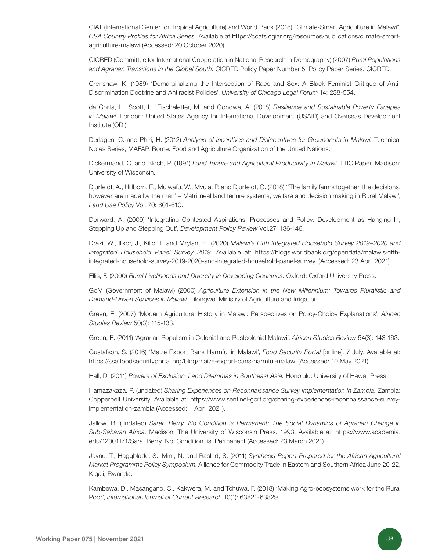CIAT (International Center for Tropical Agriculture) and World Bank (2018) "Climate-Smart Agriculture in Malawi", *CSA Country Profiles for Africa Series.* Available a[t https://ccafs.cgiar.org/resources/publications/climate-smart](https://ccafs.cgiar.org/resources/publications/climate-smart-agriculture-malawi)[agriculture-malawi \(A](https://ccafs.cgiar.org/resources/publications/climate-smart-agriculture-malawi)ccessed: 20 October 2020).

CICRED (Committee for International Cooperation in National Research in Demography) (2007) *Rural Populations and Agrarian Transitions in the Global South.* CICRED Policy Paper Number 5: Policy Paper Series. CICRED.

Crenshaw, K. (1989) 'Demarginalizing the Intersection of Race and Sex: A Black Feminist Critique of Anti-Discrimination Doctrine and Antiracist Policies', *University of Chicago Legal Forum* 14: 238-554.

da Corta, L., Scott, L., Eischeletter, M. and Gondwe, A. (2018) *Resilience and Sustainable Poverty Escapes in Malawi.* London: United States Agency for International Development (USAID) and Overseas Development Institute (ODI).

Derlagen, C. and Phiri, H. (2012) *Analysis of Incentives and Disincentives for Groundnuts in Malawi.* Technical Notes Series, MAFAP. Rome: Food and Agriculture Organization of the United Nations.

Dickermand, C. and Bloch, P. (1991) *Land Tenure and Agricultural Productivity in Malawi.* LTIC Paper. Madison: University of Wisconsin.

Djurfeldt, A., Hillborn, E., Mulwafu, W., Mvula, P. and Djurfeldt, G. (2018) ''The family farms together, the decisions, however are made by the man' – Matrilineal land tenure systems, welfare and decision making in Rural Malawi', *Land Use Policy* Vol. 70: 601-610.

Dorward, A. (2009) 'Integrating Contested Aspirations, Processes and Policy: Development as Hanging In, Stepping Up and Stepping Out', *Development Policy Review* Vol.27: 136-146.

Drazi, W., Ilikor, J., Kilic, T. and Mrylan, H. (2020) *Malawi's Fifth Integrated Household Survey 2019–2020 and Integrated Household Panel Survey 2019.* Available at[: https://blogs.worldbank.org/opendata/malawis-fifth](https://blogs.worldbank.org/opendata/malawis-fifth-integrated-household-survey-2019-2020-and-integrated-household-panel-survey)[integrated-household-survey-2019-2020-and-integrated-household-panel-survey. \(](https://blogs.worldbank.org/opendata/malawis-fifth-integrated-household-survey-2019-2020-and-integrated-household-panel-survey)Accessed: 23 April 2021).

Ellis, F. (2000) *Rural Livelihoods and Diversity in Developing Countries.* Oxford: Oxford University Press.

GoM (Government of Malawi) (2000) *Agriculture Extension in the New Millennium: Towards Pluralistic and Demand-Driven Services in Malawi.* Lilongwe: Ministry of Agriculture and Irrigation.

Green, E. (2007) 'Modern Agricultural History in Malawi: Perspectives on Policy-Choice Explanations', *African Studies Review* 50(3): 115-133.

Green, E. (2011) 'Agrarian Populism in Colonial and Postcolonial Malawi', *African Studies Review* 54(3): 143-163.

Gustafson, S. (2016) 'Maize Export Bans Harmful in Malawi', *Food Security Portal* [online], 7 July. Available at: [https://ssa.foodsecurityportal.org/blog/maize-export-bans-harmful-malawi \(](https://ssa.foodsecurityportal.org/blog/maize-export-bans-harmful-malawi)Accessed: 10 May 2021).

Hall, D. (2011) *Powers of Exclusion: Land Dilemmas in Southeast Asia.* Honolulu: University of Hawaii Press.

Hamazakaza, P. (undated) *Sharing Experiences on Reconnaissance Survey Implementation in Zambia.* Zambia: Copperbelt University. Available at[: https://www.sentinel-gcrf.org/sharing-experiences-reconnaissance-survey](https://www.sentinel-gcrf.org/sharing-experiences-reconnaissance-survey-implementation-zambia)[implementation-zambia \(](https://www.sentinel-gcrf.org/sharing-experiences-reconnaissance-survey-implementation-zambia)Accessed: 1 April 2021).

Jallow, B. (undated) *Sarah Berry, No Condition is Permanent: The Social Dynamics of Agrarian Change in Sub-Saharan Africa.* Madison: The University of Wisconsin Press. 1993. Available at[: https://www.academia.](https://www.academia.edu/12001171/Sara_Berry_No_Condition_is_Permanent) [edu/12001171/Sara\\_Berry\\_No\\_Condition\\_is\\_Permanent \(A](https://www.academia.edu/12001171/Sara_Berry_No_Condition_is_Permanent)ccessed: 23 March 2021).

Jayne, T., Haggblade, S., Mint, N. and Rashid, S. (2011) *Synthesis Report Prepared for the African Agricultural Market Programme Policy Symposium*. Alliance for Commodity Trade in Eastern and Southern Africa June 20-22, Kigali, Rwanda.

Kambewa, D., Masangano, C., Kakwera, M. and Tchuwa, F. (2018) 'Making Agro-ecosystems work for the Rural Poor', *International Journal of Current Research* 10(1): 63821-63829.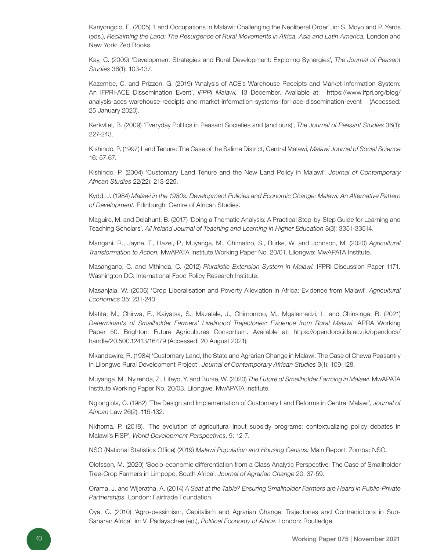Kanyongolo, E. (2005) 'Land Occupations in Malawi: Challenging the Neoliberal Order', in: S. Moyo and P. Yeros (eds.), *Reclaiming the Land: The Resurgence of Rural Movements in Africa, Asia and Latin America.* London and New York: Zed Books.

Kay, C. (2009) 'Development Strategies and Rural Development: Exploring Synergies', *The Journal of Peasant Studies* 36(1): 103-137.

Kazembe, C. and Prizzon, G. (2019) 'Analysis of ACE's Warehouse Receipts and Market Information System: An IFPRI-ACE Dissemination Event', *IFPRI Malawi,* 13 December. Available at: [https://www.ifpri.org/blog/](https://www.ifpri.org/blog/analysis-aces-warehouse-receipts-and-market-information-systems-ifpri-ace-dissemination-event ) [analysis-aces-warehouse-receipts-and-market-information-systems-ifpri-ace-dissemination-event](https://www.ifpri.org/blog/analysis-aces-warehouse-receipts-and-market-information-systems-ifpri-ace-dissemination-event ) (Accessed: 25 January 2020).

Kerkvliet, B. (2009) 'Everyday Politics in Peasant Societies and (and ours)', *The Journal of Peasant Studies* 36(1): 227-243.

Kishindo, P. (1997) Land Tenure: The Case of the Salima District, Central Malawi, *Malawi Journal of Social Science*  16: 57-67.

Kishindo, P. (2004) 'Customary Land Tenure and the New Land Policy in Malawi', *Journal of Contemporary African Studies* 22(22): 213-225.

Kydd, J. (1984) *Malawi in the 1980s: Development Policies and Economic Change: Malawi: An Alternative Pattern of Development.* Edinburgh: Centre of African Studies.

Maguire, M. and Delahunt, B. (2017) 'Doing a Thematic Analysis: A Practical Step-by-Step Guide for Learning and Teaching Scholars', *All Ireland Journal of Teaching and Learning in Higher Education* 8(3): 3351-33514.

Mangani, R., Jayne, T., Hazel, P., Muyanga, M., Chimatiro, S., Burke, W. and Johnson, M. (2020) *Agricultural Transformation to Action.* MwAPATA Institute Working Paper No. 20/01. Lilongwe: MwAPATA Institute.

Masangano, C. and Mthinda, C. (2012) *Pluralistic Extension System in Malawi.* IFPRI Discussion Paper 1171. Washington DC: International Food Policy Research Institute.

Masanjala, W. (2006) 'Crop Liberalisation and Poverty Alleviation in Africa: Evidence from Malawi', *Agricultural Economics* 35: 231-240.

Matita, M., Chirwa, E., Kaiyatsa, S., Mazalale, J., Chimombo, M., Mgalamadzi, L. and Chinsinga, B. (2021) *Determinants of Smallholder Farmers' Livelihood Trajectories: Evidence from Rural Malawi.* APRA Working Paper 50. Brighton: Future Agricultures Consortium. Available at[: https://opendocs.ids.ac.uk/opendocs/](https://opendocs.ids.ac.uk/opendocs/handle/20.500.12413/16479) [handle/20.500.12413/16479 \(](https://opendocs.ids.ac.uk/opendocs/handle/20.500.12413/16479)Accessed: 20 August 2021).

Mkandawire, R. (1984) 'Customary Land, the State and Agrarian Change in Malawi: The Case of Chewa Peasantry in Lilongwe Rural Development Project', *Journal of Contemporary African Studies* 3(1): 109-128.

Muyanga, M., Nyirenda, Z., Lifeyo, Y. and Burke, W. (2020) *The Future of Smallholder Farming in Malawi.* MwAPATA Institute Working Paper No. 20/03. Lilongwe: MwAPATA Institute.

Ng'ong'ola, C. (1982) 'The Design and Implementation of Customary Land Reforms in Central Malawi', *Journal of African* Law 26(2): 115-132.

Nkhoma, P. (2018). 'The evolution of agricultural input subsidy programs: contextualizing policy debates in Malawi's FISP', *World Development Perspectives*, 9: 12-7.

NSO (National Statistics Office) (2019) *Malawi Population and Housing Census:* Main Report. Zomba: NSO.

Olofsson, M. (2020) 'Socio-economic differentiation from a Class Analytic Perspective: The Case of Smallholder Tree-Crop Farmers in Limpopo, South Africa', *Journal of Agrarian Change* 20: 37-59.

Orama, J. and Wijeratna, A. (2014) *A Seat at the Table? Ensuring Smallholder Farmers are Heard in Public-Private Partnerships.* London: Fairtrade Foundation.

Oya, C. (2010) 'Agro-pessimism, Capitalism and Agrarian Change: Trajectories and Contradictions in Sub-Saharan Africa', in: V. Padayachee (ed.), *Political Economy of Africa*. London: Routledge.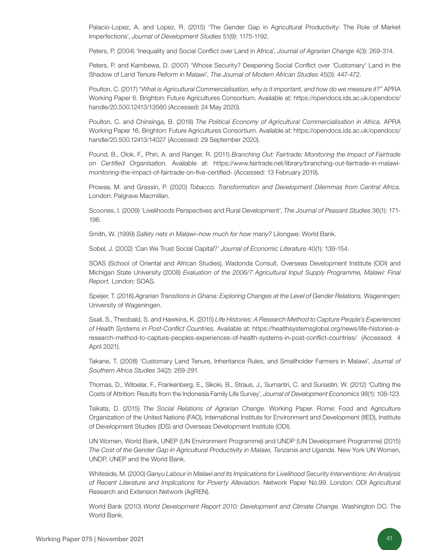Palacio-Lopez, A. and Lopez, R. (2015) 'The Gender Gap in Agricultural Productivity: The Role of Market Imperfections', *Journal of Development Studies* 51(9): 1175-1192.

Peters, P. (2004) 'Inequality and Social Conflict over Land in Africa', *Journal of Agrarian Change* 4(3): 269-314.

Peters, P. and Kambewa, D. (2007) 'Whose Security? Deepening Social Conflict over 'Customary' Land in the Shadow of Land Tenure Reform in Malawi', *The Journal of Modern African Studies* 45(3): 447-472.

Poulton, C. (2017) "*What is Agricultural Commercialisation, why is it important, and how do we measure it?*" APRA Working Paper 6. Brighton: Future Agricultures Consortium. Available at[: https://opendocs.ids.ac.uk/opendocs/](https://opendocs.ids.ac.uk/opendocs/handle/20.500.12413/13560 ) [handle/20.500.12413/13560 \(](https://opendocs.ids.ac.uk/opendocs/handle/20.500.12413/13560 )Accessed: 24 May 2020).

Poulton, C. and Chinsinga, B. (2018) *The Political Economy of Agricultural Commercialisation in Africa.* APRA Working Paper 16. Brighton: Future Agricultures Consortium. Available at[: https://opendocs.ids.ac.uk/opendocs/](https://opendocs.ids.ac.uk/opendocs/handle/20.500.12413/14027 ) [handle/20.500.12413/14027 \(](https://opendocs.ids.ac.uk/opendocs/handle/20.500.12413/14027 )Accessed: 29 September 2020).

Pound, B., Olok, F., Phiri, A. and Ranger, R. (2011) *Branching Out: Fairtrade: Monitoring the Impact of Fairtrade on Certified Organisation.* Available at: [https://www.fairtrade.net/library/branching-out-fairtrade-in-malawi](https://www.fairtrade.net/library/branching-out-fairtrade-in-malawi-monitoring-the-impact-of-fairtrade-on-five-certified-)[monitoring-the-impact-of-fairtrade-on-five-certified-](https://www.fairtrade.net/library/branching-out-fairtrade-in-malawi-monitoring-the-impact-of-fairtrade-on-five-certified-) (Accessed: 13 February 2019).

Prowse, M. and Grassin, P. (2020) *Tobacco, Transformation and Development Dilemmas from Central Africa.*  London: Palgrave Macmillan.

Scoones, I. (2009) 'Livelihoods Perspectives and Rural Development', *The Journal of Peasant Studies* 36(1): 171- 196.

Smith, W. (1999) *Safety nets in Malawi–how much for how many?* Lilongwe: World Bank.

Sobel, J. (2002) 'Can We Trust Social Capital?' *Journal of Economic Literature* 40(1): 139-154.

SOAS (School of Oriental and African Studies), Wadonda Consult, Overseas Development Institute (ODI) and Michigan State University (2008) *Evaluation of the 2006/7 Agricultural Input Supply Programme, Malawi: Final Report.* London: SOAS.

Speijer, T. (2016) *Agrarian Transitions in Ghana: Exploring Changes at the Level of Gender Relations.* Wageningen: University of Wageningen.

Ssali, S., Theobald, S. and Hawkins, K. (2015) *Life Histories: A Research Method to Capture People's Experiences of Health Systems in Post-Conflict Countries.* Available at[: https://healthsystemsglobal.org/news/life-histories-a](https://healthsystemsglobal.org/news/life-histories-a-research-method-to-capture-peoples-experiences-of-health-systems-in-post-conflict-countries/)[research-method-to-capture-peoples-experiences-of-health-systems-in-post-conflict-countries/](https://healthsystemsglobal.org/news/life-histories-a-research-method-to-capture-peoples-experiences-of-health-systems-in-post-conflict-countries/) (Accessed: 4 April 2021).

Takane, T. (2008) 'Customary Land Tenure, Inheritance Rules, and Smallholder Farmers in Malawi', *Journal of Southern Africa Studies* 34(2): 269-291.

Thomas, D., Witoelar, F., Frankenberg, E., Sikoki, B., Straus, J., Sumantri, C. and Suriastin, W. (2012) 'Cutting the Costs of Attrition: Results from the Indonesia Family Life Survey', *Journal of Development Economics* 98(1): 108-123.

Tsikata, D. (2015) *The Social Relations of Agrarian Change.* Working Paper. Rome: Food and Agriculture Organization of the United Nations (FAO), International Institute for Environment and Development (IIED), Institute of Development Studies (IDS) and Overseas Development Institute (ODI).

UN Women, World Bank, UNEP (UN Environment Programme) and UNDP (UN Development Programme) (2015) The Cost of the Gender Gap in Agricultural Productivity in Malawi, Tanzania and Uganda. New York UN Women, UNDP, UNEP and the World Bank.

Whiteside, M. (2000) *Ganyu Labour in Malawi and its Implications for Livelihood Security Interventions: An Analysis of Recent Literature and Implications for Poverty Alleviation.* Network Paper No.99. London: ODI Agricultural Research and Extension Network (AgREN).

World Bank (2010) *World Development Report 2010: Development and Climate Change.* Washington DC: The World Bank.